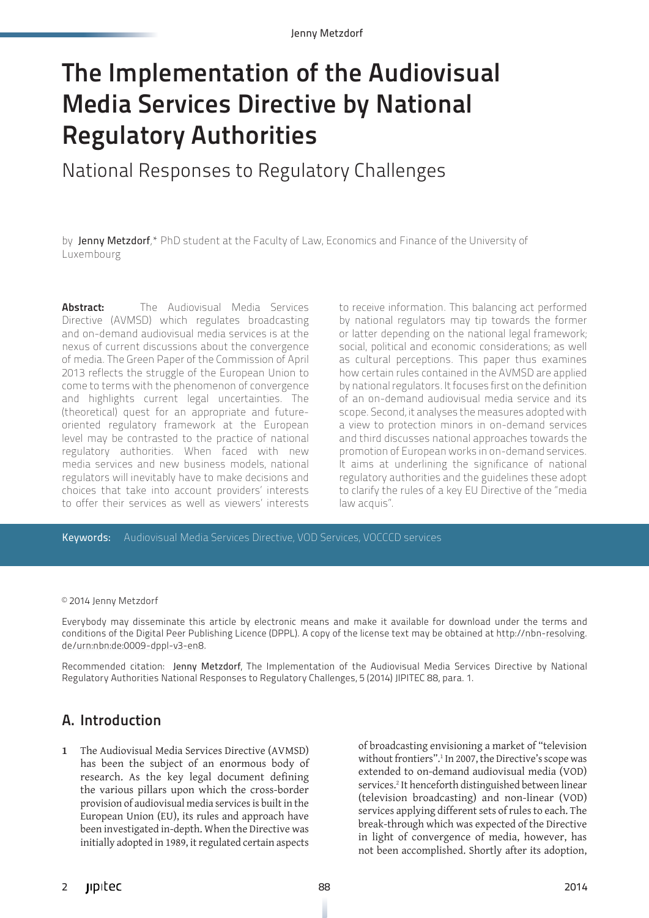Jenny Metzdorf

# The Implementation of the Audiovisual Media Services Directive by National Regulatory Authorities

National Responses to Regulatory Challenges

by Jenny Metzdorf,\* PhD student at the Faculty of Law, Economics and Finance of the University of Luxembourg

**Abstract:** The Audiovisual Media Services Directive (AVMSD) which regulates broadcasting and on-demand audiovisual media services is at the nexus of current discussions about the convergence of media. The Green Paper of the Commission of April 2013 reflects the struggle of the European Union to come to terms with the phenomenon of convergence and highlights current legal uncertainties. The (theoretical) quest for an appropriate and futureoriented regulatory framework at the European level may be contrasted to the practice of national regulatory authorities. When faced with new media services and new business models, national regulators will inevitably have to make decisions and choices that take into account providers' interests to offer their services as well as viewers' interests to receive information. This balancing act performed by national regulators may tip towards the former or latter depending on the national legal framework; social, political and economic considerations; as well as cultural perceptions. This paper thus examines how certain rules contained in the AVMSD are applied by national regulators. It focuses first on the definition of an on-demand audiovisual media service and its scope. Second, it analyses the measures adopted with a view to protection minors in on-demand services and third discusses national approaches towards the promotion of European works in on-demand services. It aims at underlining the significance of national regulatory authorities and the guidelines these adopt to clarify the rules of a key EU Directive of the "media law acquis".

Keywords: Audiovisual Media Services Directive, VOD Services, VOCCCD services

© 2014 Jenny Metzdorf

Everybody may disseminate this article by electronic means and make it available for download under the terms and conditions of the Digital Peer Publishing Licence (DPPL). A copy of the license text may be obtained at http://nbn-resolving. de/urn:nbn:de:0009-dppl-v3-en8.

Recommended citation: Jenny Metzdorf, The Implementation of the Audiovisual Media Services Directive by National Regulatory Authorities National Responses to Regulatory Challenges, 5 (2014) JIPITEC 88, para. 1.

#### A. Introduction

**1** The Audiovisual Media Services Directive (AVMSD) has been the subject of an enormous body of research. As the key legal document defining the various pillars upon which the cross-border provision of audiovisual media services is built in the European Union (EU), its rules and approach have been investigated in-depth. When the Directive was initially adopted in 1989, it regulated certain aspects of broadcasting envisioning a market of "television without frontiers".<sup>1</sup> In 2007, the Directive's scope was extended to on-demand audiovisual media (VOD) services.<sup>2</sup> It henceforth distinguished between linear (television broadcasting) and non-linear (VOD) services applying different sets of rules to each. The break-through which was expected of the Directive in light of convergence of media, however, has not been accomplished. Shortly after its adoption,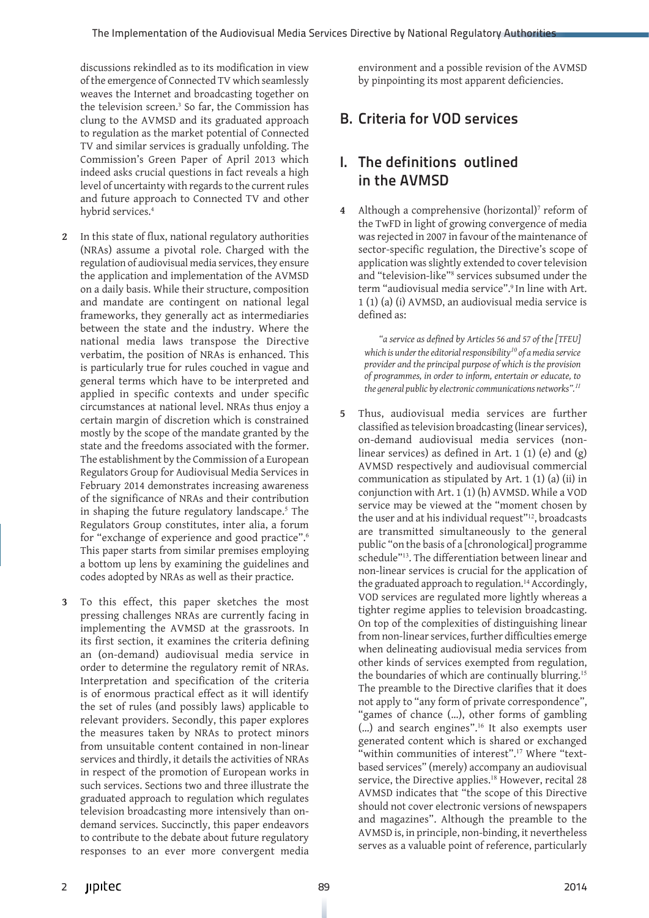discussions rekindled as to its modification in view of the emergence of Connected TV which seamlessly weaves the Internet and broadcasting together on the television screen.<sup>3</sup> So far, the Commission has clung to the AVMSD and its graduated approach to regulation as the market potential of Connected TV and similar services is gradually unfolding. The Commission's Green Paper of April 2013 which indeed asks crucial questions in fact reveals a high level of uncertainty with regards to the current rules and future approach to Connected TV and other hybrid services.4

- **2** In this state of flux, national regulatory authorities (NRAs) assume a pivotal role. Charged with the regulation of audiovisual media services, they ensure the application and implementation of the AVMSD on a daily basis. While their structure, composition and mandate are contingent on national legal frameworks, they generally act as intermediaries between the state and the industry. Where the national media laws transpose the Directive verbatim, the position of NRAs is enhanced. This is particularly true for rules couched in vague and general terms which have to be interpreted and applied in specific contexts and under specific circumstances at national level. NRAs thus enjoy a certain margin of discretion which is constrained mostly by the scope of the mandate granted by the state and the freedoms associated with the former. The establishment by the Commission of a European Regulators Group for Audiovisual Media Services in February 2014 demonstrates increasing awareness of the significance of NRAs and their contribution in shaping the future regulatory landscape.<sup>5</sup> The Regulators Group constitutes, inter alia, a forum for "exchange of experience and good practice".<sup>6</sup> This paper starts from similar premises employing a bottom up lens by examining the guidelines and codes adopted by NRAs as well as their practice.
- **3** To this effect, this paper sketches the most pressing challenges NRAs are currently facing in implementing the AVMSD at the grassroots. In its first section, it examines the criteria defining an (on-demand) audiovisual media service in order to determine the regulatory remit of NRAs. Interpretation and specification of the criteria is of enormous practical effect as it will identify the set of rules (and possibly laws) applicable to relevant providers. Secondly, this paper explores the measures taken by NRAs to protect minors from unsuitable content contained in non-linear services and thirdly, it details the activities of NRAs in respect of the promotion of European works in such services. Sections two and three illustrate the graduated approach to regulation which regulates television broadcasting more intensively than ondemand services. Succinctly, this paper endeavors to contribute to the debate about future regulatory responses to an ever more convergent media

environment and a possible revision of the AVMSD by pinpointing its most apparent deficiencies.

#### B. Criteria for VOD services

#### I. The definitions outlined in the AVMSD

**4** Although a comprehensive (horizontal)<sup>7</sup> reform of the TwFD in light of growing convergence of media was rejected in 2007 in favour of the maintenance of sector-specific regulation, the Directive's scope of application was slightly extended to cover television and "television-like"<sup>8</sup> services subsumed under the term "audiovisual media service".<sup>9</sup> In line with Art. 1 (1) (a) (i) AVMSD, an audiovisual media service is defined as:

*"a service as defined by Articles 56 and 57 of the [TFEU] which is under the editorial responsibility<sup>10</sup> of a media service provider and the principal purpose of which is the provision of programmes, in order to inform, entertain or educate, to the general public by electronic communications networks".<sup>11</sup>* 

**5** Thus, audiovisual media services are further classified as television broadcasting (linear services), on-demand audiovisual media services (nonlinear services) as defined in Art. 1 (1) (e) and  $(g)$ AVMSD respectively and audiovisual commercial communication as stipulated by Art. 1 (1) (a) (ii) in conjunction with Art. 1 (1) (h) AVMSD. While a VOD service may be viewed at the "moment chosen by the user and at his individual request"<sup>12</sup>, broadcasts are transmitted simultaneously to the general public "on the basis of a [chronological] programme schedule"<sup>13</sup>. The differentiation between linear and non-linear services is crucial for the application of the graduated approach to regulation.<sup>14</sup> Accordingly, VOD services are regulated more lightly whereas a tighter regime applies to television broadcasting. On top of the complexities of distinguishing linear from non-linear services, further difficulties emerge when delineating audiovisual media services from other kinds of services exempted from regulation, the boundaries of which are continually blurring.<sup>15</sup> The preamble to the Directive clarifies that it does not apply to "any form of private correspondence", "games of chance (…), other forms of gambling (…) and search engines".<sup>16</sup> It also exempts user generated content which is shared or exchanged "within communities of interest".<sup>17</sup> Where "textbased services" (merely) accompany an audiovisual service, the Directive applies.<sup>18</sup> However, recital 28 AVMSD indicates that "the scope of this Directive should not cover electronic versions of newspapers and magazines". Although the preamble to the AVMSD is, in principle, non-binding, it nevertheless serves as a valuable point of reference, particularly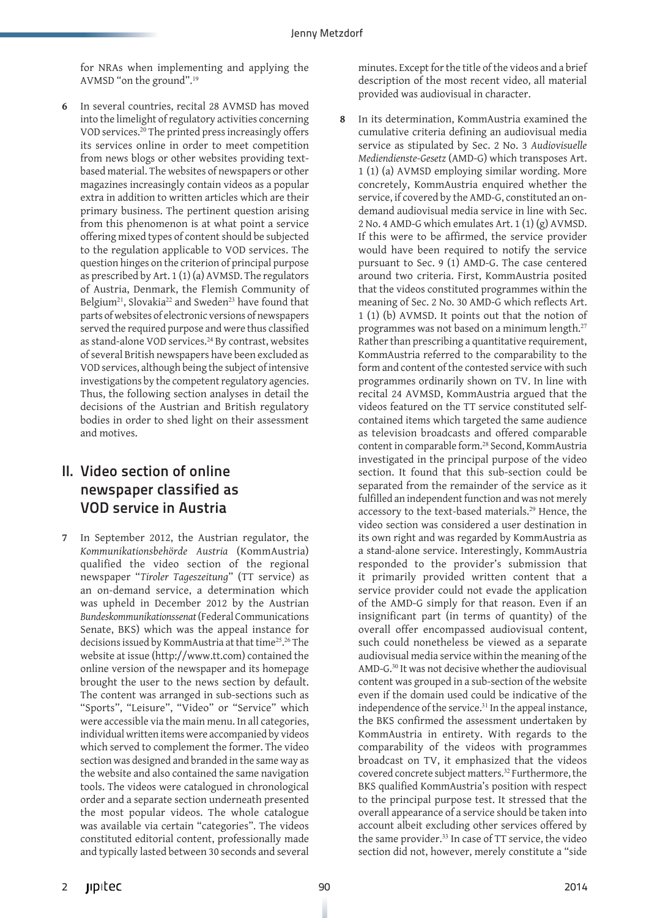for NRAs when implementing and applying the AVMSD "on the ground".<sup>19</sup>

**6** In several countries, recital 28 AVMSD has moved into the limelight of regulatory activities concerning VOD services.<sup>20</sup> The printed press increasingly offers its services online in order to meet competition from news blogs or other websites providing textbased material. The websites of newspapers or other magazines increasingly contain videos as a popular extra in addition to written articles which are their primary business. The pertinent question arising from this phenomenon is at what point a service offering mixed types of content should be subjected to the regulation applicable to VOD services. The question hinges on the criterion of principal purpose as prescribed by Art. 1 (1) (a) AVMSD. The regulators of Austria, Denmark, the Flemish Community of Belgium<sup>21</sup>, Slovakia<sup>22</sup> and Sweden<sup>23</sup> have found that parts of websites of electronic versions of newspapers served the required purpose and were thus classified as stand-alone VOD services.<sup>24</sup> By contrast, websites of several British newspapers have been excluded as VOD services, although being the subject of intensive investigations by the competent regulatory agencies. Thus, the following section analyses in detail the decisions of the Austrian and British regulatory bodies in order to shed light on their assessment and motives.

# II. Video section of online newspaper classified as VOD service in Austria

**7** In September 2012, the Austrian regulator, the *Kommunikationsbehörde Austria* (KommAustria) qualified the video section of the regional newspaper "*Tiroler Tageszeitung*" (TT service) as an on-demand service, a determination which was upheld in December 2012 by the Austrian *Bundeskommunikationssenat* (Federal Communications Senate, BKS) which was the appeal instance for decisions issued by KommAustria at that time<sup>25</sup>. <sup>26</sup> The website at issue (http://www.tt.com) contained the online version of the newspaper and its homepage brought the user to the news section by default. The content was arranged in sub-sections such as "Sports", "Leisure", "Video" or "Service" which were accessible via the main menu. In all categories, individual written items were accompanied by videos which served to complement the former. The video section was designed and branded in the same way as the website and also contained the same navigation tools. The videos were catalogued in chronological order and a separate section underneath presented the most popular videos. The whole catalogue was available via certain "categories". The videos constituted editorial content, professionally made and typically lasted between 30 seconds and several

minutes. Except for the title of the videos and a brief description of the most recent video, all material provided was audiovisual in character.

**8** In its determination, KommAustria examined the cumulative criteria defining an audiovisual media service as stipulated by Sec. 2 No. 3 *Audiovisuelle Mediendienste-Gesetz* (AMD-G) which transposes Art. 1 (1) (a) AVMSD employing similar wording. More concretely, KommAustria enquired whether the service, if covered by the AMD-G, constituted an ondemand audiovisual media service in line with Sec. 2 No. 4 AMD-G which emulates Art. 1 (1) (g) AVMSD. If this were to be affirmed, the service provider would have been required to notify the service pursuant to Sec. 9 (1) AMD-G. The case centered around two criteria. First, KommAustria posited that the videos constituted programmes within the meaning of Sec. 2 No. 30 AMD-G which reflects Art. 1 (1) (b) AVMSD. It points out that the notion of programmes was not based on a minimum length.<sup>27</sup> Rather than prescribing a quantitative requirement, KommAustria referred to the comparability to the form and content of the contested service with such programmes ordinarily shown on TV. In line with recital 24 AVMSD, KommAustria argued that the videos featured on the TT service constituted selfcontained items which targeted the same audience as television broadcasts and offered comparable content in comparable form.<sup>28</sup> Second, KommAustria investigated in the principal purpose of the video section. It found that this sub-section could be separated from the remainder of the service as it fulfilled an independent function and was not merely accessory to the text-based materials.<sup>29</sup> Hence, the video section was considered a user destination in its own right and was regarded by KommAustria as a stand-alone service. Interestingly, KommAustria responded to the provider's submission that it primarily provided written content that a service provider could not evade the application of the AMD-G simply for that reason. Even if an insignificant part (in terms of quantity) of the overall offer encompassed audiovisual content, such could nonetheless be viewed as a separate audiovisual media service within the meaning of the AMD-G.<sup>30</sup> It was not decisive whether the audiovisual content was grouped in a sub-section of the website even if the domain used could be indicative of the independence of the service.<sup>31</sup> In the appeal instance, the BKS confirmed the assessment undertaken by KommAustria in entirety. With regards to the comparability of the videos with programmes broadcast on TV, it emphasized that the videos covered concrete subject matters.<sup>32</sup> Furthermore, the BKS qualified KommAustria's position with respect to the principal purpose test. It stressed that the overall appearance of a service should be taken into account albeit excluding other services offered by the same provider.<sup>33</sup> In case of TT service, the video section did not, however, merely constitute a "side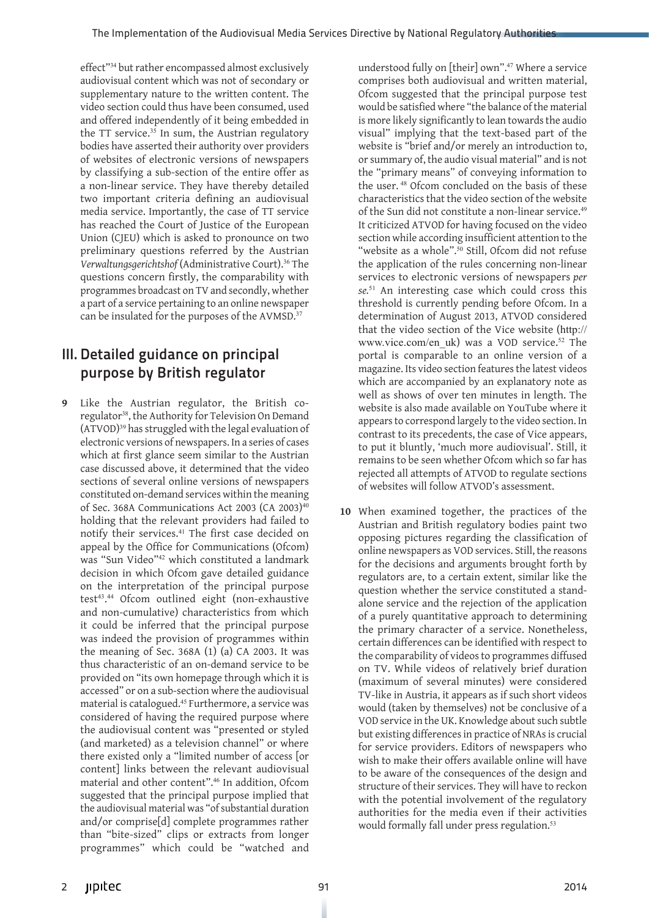effect"<sup>34</sup> but rather encompassed almost exclusively audiovisual content which was not of secondary or supplementary nature to the written content. The video section could thus have been consumed, used and offered independently of it being embedded in the TT service.<sup>35</sup> In sum, the Austrian regulatory bodies have asserted their authority over providers of websites of electronic versions of newspapers by classifying a sub-section of the entire offer as a non-linear service. They have thereby detailed two important criteria defining an audiovisual media service. Importantly, the case of TT service has reached the Court of Justice of the European Union (CJEU) which is asked to pronounce on two preliminary questions referred by the Austrian *Verwaltungsgerichtshof* (Administrative Court).<sup>36</sup> The questions concern firstly, the comparability with programmes broadcast on TV and secondly, whether a part of a service pertaining to an online newspaper can be insulated for the purposes of the AVMSD.<sup>37</sup>

# III. Detailed guidance on principal purpose by British regulator

**9** Like the Austrian regulator, the British coregulator<sup>38</sup>, the Authority for Television On Demand (ATVOD)<sup>39</sup> has struggled with the legal evaluation of electronic versions of newspapers. In a series of cases which at first glance seem similar to the Austrian case discussed above, it determined that the video sections of several online versions of newspapers constituted on-demand services within the meaning of Sec. 368A Communications Act 2003 (CA 2003)<sup>40</sup> holding that the relevant providers had failed to notify their services.<sup>41</sup> The first case decided on appeal by the Office for Communications (Ofcom) was "Sun Video"<sup>42</sup> which constituted a landmark decision in which Ofcom gave detailed guidance on the interpretation of the principal purpose test<sup>43</sup>.<sup>44</sup> Ofcom outlined eight (non-exhaustive and non-cumulative) characteristics from which it could be inferred that the principal purpose was indeed the provision of programmes within the meaning of Sec. 368A (1) (a) CA 2003. It was thus characteristic of an on-demand service to be provided on "its own homepage through which it is accessed" or on a sub-section where the audiovisual material is catalogued.<sup>45</sup> Furthermore, a service was considered of having the required purpose where the audiovisual content was "presented or styled (and marketed) as a television channel" or where there existed only a "limited number of access [or content] links between the relevant audiovisual material and other content".<sup>46</sup> In addition, Ofcom suggested that the principal purpose implied that the audiovisual material was "of substantial duration and/or comprise[d] complete programmes rather than "bite-sized" clips or extracts from longer programmes" which could be "watched and

understood fully on [their] own".<sup>47</sup> Where a service comprises both audiovisual and written material, Ofcom suggested that the principal purpose test would be satisfied where "the balance of the material is more likely significantly to lean towards the audio visual" implying that the text-based part of the website is "brief and/or merely an introduction to, or summary of, the audio visual material" and is not the "primary means" of conveying information to the user. <sup>48</sup> Ofcom concluded on the basis of these characteristics that the video section of the website of the Sun did not constitute a non-linear service.<sup>49</sup> It criticized ATVOD for having focused on the video section while according insufficient attention to the "website as a whole".<sup>50</sup> Still, Ofcom did not refuse the application of the rules concerning non-linear services to electronic versions of newspapers *per se.*<sup>51</sup> An interesting case which could cross this threshold is currently pending before Ofcom. In a determination of August 2013, ATVOD considered that the video section of the Vice website (http:// www.vice.com/en\_uk) was a VOD service.<sup>52</sup> The portal is comparable to an online version of a magazine. Its video section features the latest videos which are accompanied by an explanatory note as well as shows of over ten minutes in length. The website is also made available on YouTube where it appears to correspond largely to the video section. In contrast to its precedents, the case of Vice appears, to put it bluntly, 'much more audiovisual'. Still, it remains to be seen whether Ofcom which so far has rejected all attempts of ATVOD to regulate sections of websites will follow ATVOD's assessment.

**10** When examined together, the practices of the Austrian and British regulatory bodies paint two opposing pictures regarding the classification of online newspapers as VOD services. Still, the reasons for the decisions and arguments brought forth by regulators are, to a certain extent, similar like the question whether the service constituted a standalone service and the rejection of the application of a purely quantitative approach to determining the primary character of a service. Nonetheless, certain differences can be identified with respect to the comparability of videos to programmes diffused on TV. While videos of relatively brief duration (maximum of several minutes) were considered TV-like in Austria, it appears as if such short videos would (taken by themselves) not be conclusive of a VOD service in the UK. Knowledge about such subtle but existing differences in practice of NRAs is crucial for service providers. Editors of newspapers who wish to make their offers available online will have to be aware of the consequences of the design and structure of their services. They will have to reckon with the potential involvement of the regulatory authorities for the media even if their activities would formally fall under press regulation.<sup>53</sup>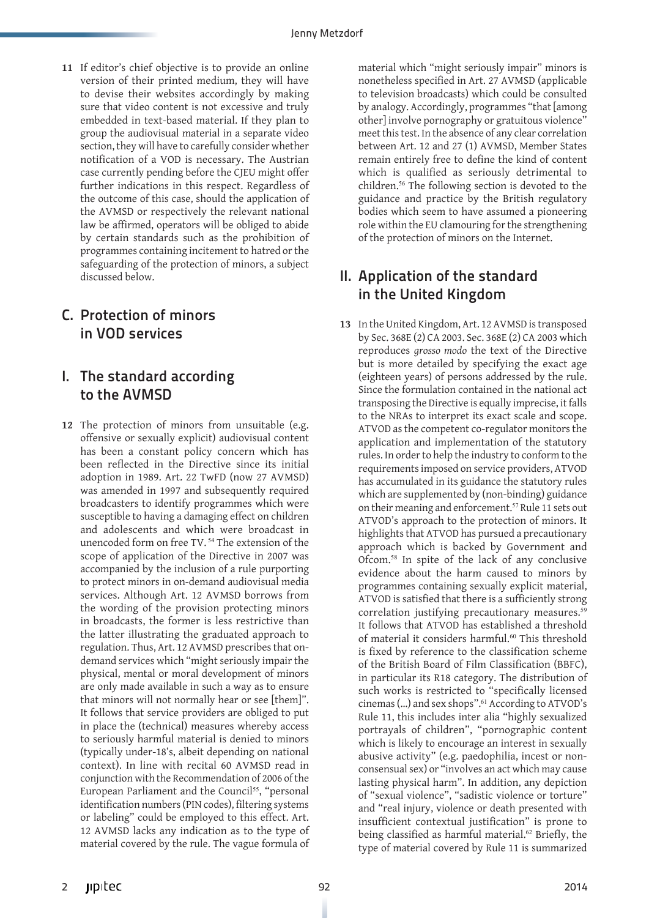**11** If editor's chief objective is to provide an online version of their printed medium, they will have to devise their websites accordingly by making sure that video content is not excessive and truly embedded in text-based material. If they plan to group the audiovisual material in a separate video section, they will have to carefully consider whether notification of a VOD is necessary. The Austrian case currently pending before the CJEU might offer further indications in this respect. Regardless of the outcome of this case, should the application of the AVMSD or respectively the relevant national law be affirmed, operators will be obliged to abide by certain standards such as the prohibition of programmes containing incitement to hatred or the safeguarding of the protection of minors, a subject discussed below.

## C. Protection of minors in VOD services

#### I. The standard according to the AVMSD

**12** The protection of minors from unsuitable (e.g. offensive or sexually explicit) audiovisual content has been a constant policy concern which has been reflected in the Directive since its initial adoption in 1989. Art. 22 TwFD (now 27 AVMSD) was amended in 1997 and subsequently required broadcasters to identify programmes which were susceptible to having a damaging effect on children and adolescents and which were broadcast in unencoded form on free TV.<sup>54</sup> The extension of the scope of application of the Directive in 2007 was accompanied by the inclusion of a rule purporting to protect minors in on-demand audiovisual media services. Although Art. 12 AVMSD borrows from the wording of the provision protecting minors in broadcasts, the former is less restrictive than the latter illustrating the graduated approach to regulation. Thus, Art. 12 AVMSD prescribes that ondemand services which "might seriously impair the physical, mental or moral development of minors are only made available in such a way as to ensure that minors will not normally hear or see [them]". It follows that service providers are obliged to put in place the (technical) measures whereby access to seriously harmful material is denied to minors (typically under-18's, albeit depending on national context). In line with recital 60 AVMSD read in conjunction with the Recommendation of 2006 of the European Parliament and the Council<sup>55</sup>, "personal identification numbers (PIN codes), filtering systems or labeling" could be employed to this effect. Art. 12 AVMSD lacks any indication as to the type of material covered by the rule. The vague formula of

material which "might seriously impair" minors is nonetheless specified in Art. 27 AVMSD (applicable to television broadcasts) which could be consulted by analogy. Accordingly, programmes "that [among other] involve pornography or gratuitous violence" meet this test. In the absence of any clear correlation between Art. 12 and 27 (1) AVMSD, Member States remain entirely free to define the kind of content which is qualified as seriously detrimental to children.<sup>56</sup> The following section is devoted to the guidance and practice by the British regulatory bodies which seem to have assumed a pioneering role within the EU clamouring for the strengthening of the protection of minors on the Internet.

#### II. Application of the standard in the United Kingdom

**13** In the United Kingdom, Art. 12 AVMSD is transposed by Sec. 368E (2) CA 2003. Sec. 368E (2) CA 2003 which reproduces *grosso modo* the text of the Directive but is more detailed by specifying the exact age (eighteen years) of persons addressed by the rule. Since the formulation contained in the national act transposing the Directive is equally imprecise, it falls to the NRAs to interpret its exact scale and scope. ATVOD as the competent co-regulator monitors the application and implementation of the statutory rules. In order to help the industry to conform to the requirements imposed on service providers, ATVOD has accumulated in its guidance the statutory rules which are supplemented by (non-binding) guidance on their meaning and enforcement.<sup>57</sup> Rule 11 sets out ATVOD's approach to the protection of minors. It highlights that ATVOD has pursued a precautionary approach which is backed by Government and Ofcom.<sup>58</sup> In spite of the lack of any conclusive evidence about the harm caused to minors by programmes containing sexually explicit material, ATVOD is satisfied that there is a sufficiently strong correlation justifying precautionary measures.<sup>59</sup> It follows that ATVOD has established a threshold of material it considers harmful.<sup>60</sup> This threshold is fixed by reference to the classification scheme of the British Board of Film Classification (BBFC), in particular its R18 category. The distribution of such works is restricted to "specifically licensed cinemas (…) and sex shops".<sup>61</sup> According to ATVOD's Rule 11, this includes inter alia "highly sexualized portrayals of children", "pornographic content which is likely to encourage an interest in sexually abusive activity" (e.g. paedophilia, incest or nonconsensual sex) or "involves an act which may cause lasting physical harm". In addition, any depiction of "sexual violence", "sadistic violence or torture" and "real injury, violence or death presented with insufficient contextual justification" is prone to being classified as harmful material.<sup>62</sup> Briefly, the type of material covered by Rule 11 is summarized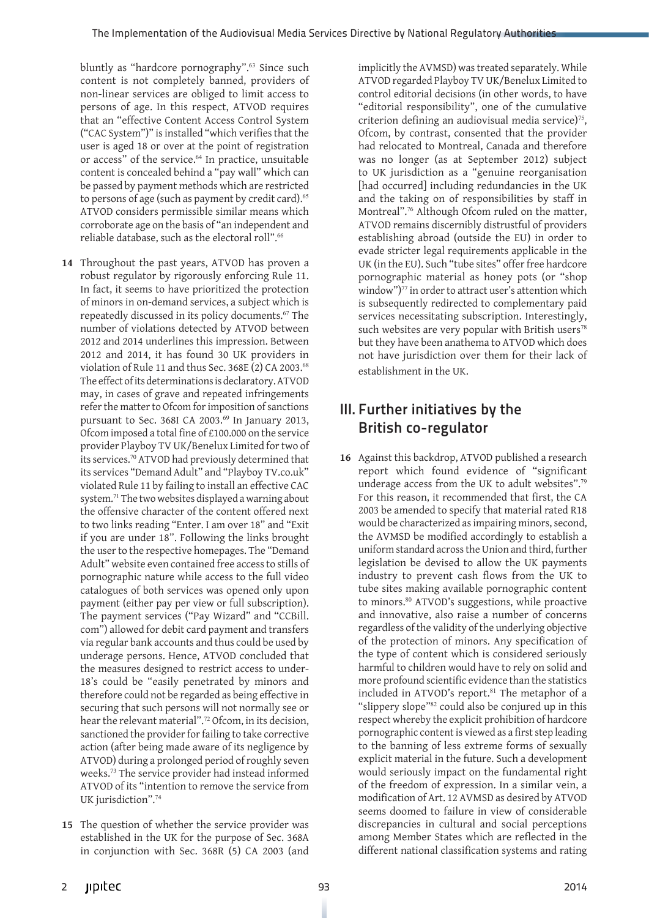bluntly as "hardcore pornography".<sup>63</sup> Since such content is not completely banned, providers of non-linear services are obliged to limit access to persons of age. In this respect, ATVOD requires that an "effective Content Access Control System ("CAC System")" is installed "which verifies that the user is aged 18 or over at the point of registration or access" of the service.<sup>64</sup> In practice, unsuitable content is concealed behind a "pay wall" which can be passed by payment methods which are restricted to persons of age (such as payment by credit card).<sup>65</sup> ATVOD considers permissible similar means which corroborate age on the basis of "an independent and reliable database, such as the electoral roll".<sup>66</sup>

- **14** Throughout the past years, ATVOD has proven a robust regulator by rigorously enforcing Rule 11. In fact, it seems to have prioritized the protection of minors in on-demand services, a subject which is repeatedly discussed in its policy documents.<sup>67</sup> The number of violations detected by ATVOD between 2012 and 2014 underlines this impression. Between 2012 and 2014, it has found 30 UK providers in violation of Rule 11 and thus Sec. 368E (2) CA 2003.<sup>68</sup> The effect of its determinations is declaratory. ATVOD may, in cases of grave and repeated infringements refer the matter to Ofcom for imposition of sanctions pursuant to Sec. 368I CA 2003.<sup>69</sup> In January 2013, Ofcom imposed a total fine of £100.000 on the service provider Playboy TV UK/Benelux Limited for two of its services.<sup>70</sup> ATVOD had previously determined that its services "Demand Adult" and "Playboy TV.co.uk" violated Rule 11 by failing to install an effective CAC system.<sup>71</sup> The two websites displayed a warning about the offensive character of the content offered next to two links reading "Enter. I am over 18" and "Exit if you are under 18". Following the links brought the user to the respective homepages. The "Demand Adult" website even contained free access to stills of pornographic nature while access to the full video catalogues of both services was opened only upon payment (either pay per view or full subscription). The payment services ("Pay Wizard" and "CCBill. com") allowed for debit card payment and transfers via regular bank accounts and thus could be used by underage persons. Hence, ATVOD concluded that the measures designed to restrict access to under-18's could be "easily penetrated by minors and therefore could not be regarded as being effective in securing that such persons will not normally see or hear the relevant material".<sup>72</sup> Ofcom, in its decision, sanctioned the provider for failing to take corrective action (after being made aware of its negligence by ATVOD) during a prolonged period of roughly seven weeks.<sup>73</sup> The service provider had instead informed ATVOD of its "intention to remove the service from UK jurisdiction".<sup>74</sup>
- **15** The question of whether the service provider was established in the UK for the purpose of Sec. 368A in conjunction with Sec. 368R (5) CA 2003 (and

implicitly the AVMSD) was treated separately. While ATVOD regarded Playboy TV UK/Benelux Limited to control editorial decisions (in other words, to have "editorial responsibility", one of the cumulative criterion defining an audiovisual media service)<sup>75</sup>, Ofcom, by contrast, consented that the provider had relocated to Montreal, Canada and therefore was no longer (as at September 2012) subject to UK jurisdiction as a "genuine reorganisation [had occurred] including redundancies in the UK and the taking on of responsibilities by staff in Montreal".<sup>76</sup> Although Ofcom ruled on the matter, ATVOD remains discernibly distrustful of providers establishing abroad (outside the EU) in order to evade stricter legal requirements applicable in the UK (in the EU). Such "tube sites" offer free hardcore pornographic material as honey pots (or "shop window")<sup>77</sup> in order to attract user's attention which is subsequently redirected to complementary paid services necessitating subscription. Interestingly, such websites are very popular with British users<sup>78</sup> but they have been anathema to ATVOD which does not have jurisdiction over them for their lack of establishment in the UK.

# III. Further initiatives by the British co-regulator

**16** Against this backdrop, ATVOD published a research report which found evidence of "significant underage access from the UK to adult websites".<sup>79</sup> For this reason, it recommended that first, the CA 2003 be amended to specify that material rated R18 would be characterized as impairing minors, second, the AVMSD be modified accordingly to establish a uniform standard across the Union and third, further legislation be devised to allow the UK payments industry to prevent cash flows from the UK to tube sites making available pornographic content to minors.<sup>80</sup> ATVOD's suggestions, while proactive and innovative, also raise a number of concerns regardless of the validity of the underlying objective of the protection of minors. Any specification of the type of content which is considered seriously harmful to children would have to rely on solid and more profound scientific evidence than the statistics included in ATVOD's report.<sup>81</sup> The metaphor of a "slippery slope"<sup>82</sup> could also be conjured up in this respect whereby the explicit prohibition of hardcore pornographic content is viewed as a first step leading to the banning of less extreme forms of sexually explicit material in the future. Such a development would seriously impact on the fundamental right of the freedom of expression. In a similar vein, a modification of Art. 12 AVMSD as desired by ATVOD seems doomed to failure in view of considerable discrepancies in cultural and social perceptions among Member States which are reflected in the different national classification systems and rating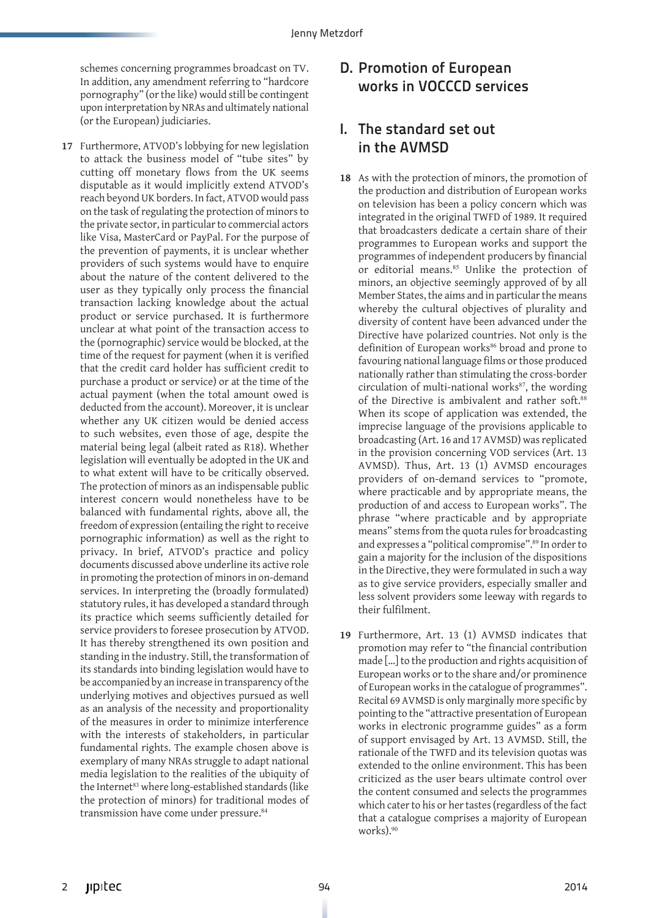schemes concerning programmes broadcast on TV. In addition, any amendment referring to "hardcore pornography" (or the like) would still be contingent upon interpretation by NRAs and ultimately national (or the European) judiciaries.

**17** Furthermore, ATVOD's lobbying for new legislation to attack the business model of "tube sites" by cutting off monetary flows from the UK seems disputable as it would implicitly extend ATVOD's reach beyond UK borders. In fact, ATVOD would pass on the task of regulating the protection of minors to the private sector, in particular to commercial actors like Visa, MasterCard or PayPal. For the purpose of the prevention of payments, it is unclear whether providers of such systems would have to enquire about the nature of the content delivered to the user as they typically only process the financial transaction lacking knowledge about the actual product or service purchased. It is furthermore unclear at what point of the transaction access to the (pornographic) service would be blocked, at the time of the request for payment (when it is verified that the credit card holder has sufficient credit to purchase a product or service) or at the time of the actual payment (when the total amount owed is deducted from the account). Moreover, it is unclear whether any UK citizen would be denied access to such websites, even those of age, despite the material being legal (albeit rated as R18). Whether legislation will eventually be adopted in the UK and to what extent will have to be critically observed. The protection of minors as an indispensable public interest concern would nonetheless have to be balanced with fundamental rights, above all, the freedom of expression (entailing the right to receive pornographic information) as well as the right to privacy. In brief, ATVOD's practice and policy documents discussed above underline its active role in promoting the protection of minors in on-demand services. In interpreting the (broadly formulated) statutory rules, it has developed a standard through its practice which seems sufficiently detailed for service providers to foresee prosecution by ATVOD. It has thereby strengthened its own position and standing in the industry. Still, the transformation of its standards into binding legislation would have to be accompanied by an increase in transparency of the underlying motives and objectives pursued as well as an analysis of the necessity and proportionality of the measures in order to minimize interference with the interests of stakeholders, in particular fundamental rights. The example chosen above is exemplary of many NRAs struggle to adapt national media legislation to the realities of the ubiquity of the Internet<sup>83</sup> where long-established standards (like the protection of minors) for traditional modes of transmission have come under pressure.<sup>84</sup>

### D. Promotion of European works in VOCCCD services

#### I. The standard set out in the AVMSD

- **18** As with the protection of minors, the promotion of the production and distribution of European works on television has been a policy concern which was integrated in the original TWFD of 1989. It required that broadcasters dedicate a certain share of their programmes to European works and support the programmes of independent producers by financial or editorial means.<sup>85</sup> Unlike the protection of minors, an objective seemingly approved of by all Member States, the aims and in particular the means whereby the cultural objectives of plurality and diversity of content have been advanced under the Directive have polarized countries. Not only is the definition of European works<sup>86</sup> broad and prone to favouring national language films or those produced nationally rather than stimulating the cross-border circulation of multi-national works $87$ , the wording of the Directive is ambivalent and rather soft.<sup>88</sup> When its scope of application was extended, the imprecise language of the provisions applicable to broadcasting (Art. 16 and 17 AVMSD) was replicated in the provision concerning VOD services (Art. 13 AVMSD). Thus, Art. 13 (1) AVMSD encourages providers of on-demand services to "promote, where practicable and by appropriate means, the production of and access to European works". The phrase "where practicable and by appropriate means" stems from the quota rules for broadcasting and expresses a "political compromise".<sup>89</sup> In order to gain a majority for the inclusion of the dispositions in the Directive, they were formulated in such a way as to give service providers, especially smaller and less solvent providers some leeway with regards to their fulfilment.
- **19** Furthermore, Art. 13 (1) AVMSD indicates that promotion may refer to "the financial contribution made […] to the production and rights acquisition of European works or to the share and/or prominence of European works in the catalogue of programmes". Recital 69 AVMSD is only marginally more specific by pointing to the "attractive presentation of European works in electronic programme guides" as a form of support envisaged by Art. 13 AVMSD. Still, the rationale of the TWFD and its television quotas was extended to the online environment. This has been criticized as the user bears ultimate control over the content consumed and selects the programmes which cater to his or her tastes (regardless of the fact that a catalogue comprises a majority of European works).90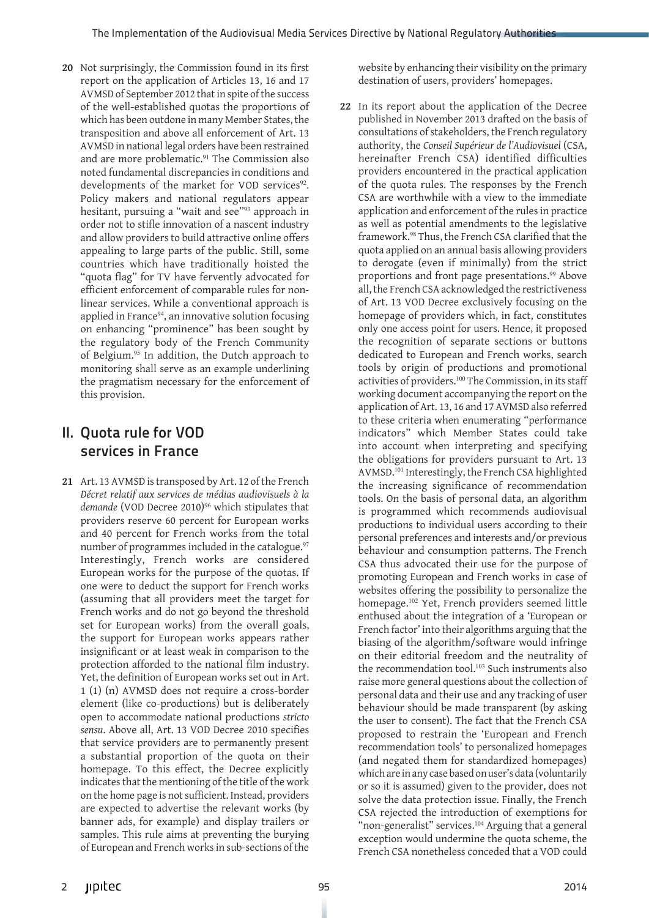**20** Not surprisingly, the Commission found in its first report on the application of Articles 13, 16 and 17 AVMSD of September 2012 that in spite of the success of the well-established quotas the proportions of which has been outdone in many Member States, the transposition and above all enforcement of Art. 13 AVMSD in national legal orders have been restrained and are more problematic.<sup>91</sup> The Commission also noted fundamental discrepancies in conditions and developments of the market for VOD services<sup>92</sup>. Policy makers and national regulators appear hesitant, pursuing a "wait and see"<sup>93</sup> approach in order not to stifle innovation of a nascent industry and allow providers to build attractive online offers appealing to large parts of the public. Still, some countries which have traditionally hoisted the "quota flag" for TV have fervently advocated for efficient enforcement of comparable rules for nonlinear services. While a conventional approach is applied in France<sup>94</sup>, an innovative solution focusing on enhancing "prominence" has been sought by the regulatory body of the French Community of Belgium.<sup>95</sup> In addition, the Dutch approach to monitoring shall serve as an example underlining the pragmatism necessary for the enforcement of this provision.

#### II. Quota rule for VOD services in France

**21** Art. 13 AVMSD is transposed by Art. 12 of the French *Décret relatif aux services de médias audiovisuels à la*  demande (VOD Decree 2010)<sup>96</sup> which stipulates that providers reserve 60 percent for European works and 40 percent for French works from the total number of programmes included in the catalogue.<sup>97</sup> Interestingly, French works are considered European works for the purpose of the quotas. If one were to deduct the support for French works (assuming that all providers meet the target for French works and do not go beyond the threshold set for European works) from the overall goals, the support for European works appears rather insignificant or at least weak in comparison to the protection afforded to the national film industry. Yet, the definition of European works set out in Art. 1 (1) (n) AVMSD does not require a cross-border element (like co-productions) but is deliberately open to accommodate national productions *stricto sensu*. Above all, Art. 13 VOD Decree 2010 specifies that service providers are to permanently present a substantial proportion of the quota on their homepage. To this effect, the Decree explicitly indicates that the mentioning of the title of the work on the home page is not sufficient. Instead, providers are expected to advertise the relevant works (by banner ads, for example) and display trailers or samples. This rule aims at preventing the burying of European and French works in sub-sections of the

website by enhancing their visibility on the primary destination of users, providers' homepages.

**22** In its report about the application of the Decree published in November 2013 drafted on the basis of consultations of stakeholders, the French regulatory authority, the *Conseil Supérieur de l'Audiovisuel* (CSA, hereinafter French CSA) identified difficulties providers encountered in the practical application of the quota rules. The responses by the French CSA are worthwhile with a view to the immediate application and enforcement of the rules in practice as well as potential amendments to the legislative framework.<sup>98</sup> Thus, the French CSA clarified that the quota applied on an annual basis allowing providers to derogate (even if minimally) from the strict proportions and front page presentations.<sup>99</sup> Above all, the French CSA acknowledged the restrictiveness of Art. 13 VOD Decree exclusively focusing on the homepage of providers which, in fact, constitutes only one access point for users. Hence, it proposed the recognition of separate sections or buttons dedicated to European and French works, search tools by origin of productions and promotional activities of providers.<sup>100</sup> The Commission, in its staff working document accompanying the report on the application of Art. 13, 16 and 17 AVMSD also referred to these criteria when enumerating "performance indicators" which Member States could take into account when interpreting and specifying the obligations for providers pursuant to Art. 13 AVMSD.<sup>101</sup> Interestingly, the French CSA highlighted the increasing significance of recommendation tools. On the basis of personal data, an algorithm is programmed which recommends audiovisual productions to individual users according to their personal preferences and interests and/or previous behaviour and consumption patterns. The French CSA thus advocated their use for the purpose of promoting European and French works in case of websites offering the possibility to personalize the homepage.<sup>102</sup> Yet, French providers seemed little enthused about the integration of a 'European or French factor' into their algorithms arguing that the biasing of the algorithm/software would infringe on their editorial freedom and the neutrality of the recommendation tool.<sup>103</sup> Such instruments also raise more general questions about the collection of personal data and their use and any tracking of user behaviour should be made transparent (by asking the user to consent). The fact that the French CSA proposed to restrain the 'European and French recommendation tools' to personalized homepages (and negated them for standardized homepages) which are in any case based on user's data (voluntarily or so it is assumed) given to the provider, does not solve the data protection issue. Finally, the French CSA rejected the introduction of exemptions for "non-generalist" services.<sup>104</sup> Arguing that a general exception would undermine the quota scheme, the French CSA nonetheless conceded that a VOD could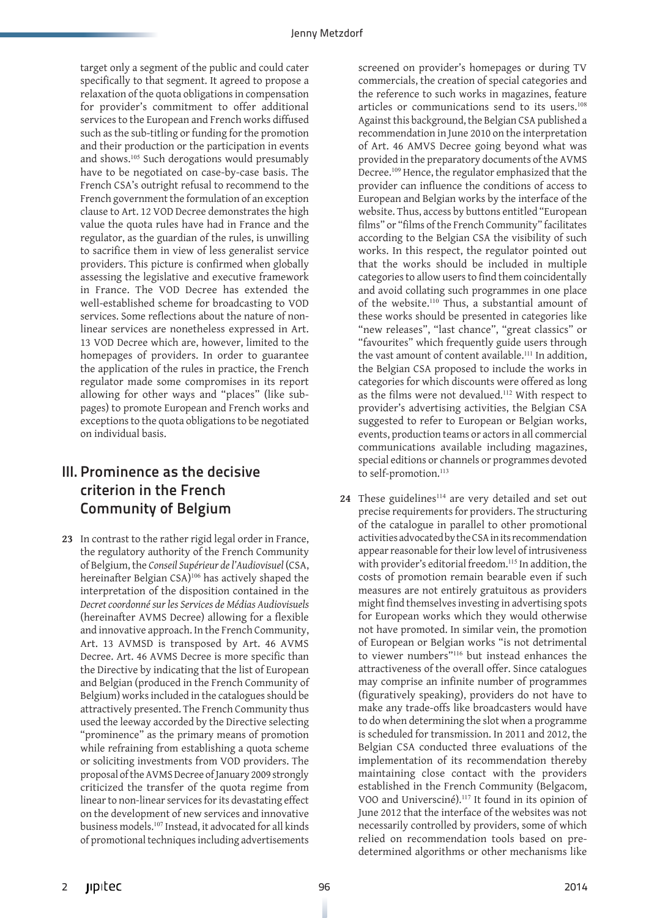target only a segment of the public and could cater specifically to that segment. It agreed to propose a relaxation of the quota obligations in compensation for provider's commitment to offer additional services to the European and French works diffused such as the sub-titling or funding for the promotion and their production or the participation in events and shows.<sup>105</sup> Such derogations would presumably have to be negotiated on case-by-case basis. The French CSA's outright refusal to recommend to the French government the formulation of an exception clause to Art. 12 VOD Decree demonstrates the high value the quota rules have had in France and the regulator, as the guardian of the rules, is unwilling to sacrifice them in view of less generalist service providers. This picture is confirmed when globally assessing the legislative and executive framework in France. The VOD Decree has extended the well-established scheme for broadcasting to VOD services. Some reflections about the nature of nonlinear services are nonetheless expressed in Art. 13 VOD Decree which are, however, limited to the homepages of providers. In order to guarantee the application of the rules in practice, the French regulator made some compromises in its report allowing for other ways and "places" (like subpages) to promote European and French works and exceptions to the quota obligations to be negotiated on individual basis.

# III. Prominence as the decisive criterion in the French Community of Belgium

**23** In contrast to the rather rigid legal order in France, the regulatory authority of the French Community of Belgium, the *Conseil Supérieur de l'Audiovisuel* (CSA, hereinafter Belgian CSA)<sup>106</sup> has actively shaped the interpretation of the disposition contained in the *Decret coordonné sur les Services de Médias Audiovisuels* (hereinafter AVMS Decree) allowing for a flexible and innovative approach. In the French Community, Art. 13 AVMSD is transposed by Art. 46 AVMS Decree. Art. 46 AVMS Decree is more specific than the Directive by indicating that the list of European and Belgian (produced in the French Community of Belgium) works included in the catalogues should be attractively presented. The French Community thus used the leeway accorded by the Directive selecting "prominence" as the primary means of promotion while refraining from establishing a quota scheme or soliciting investments from VOD providers. The proposal of the AVMS Decree of January 2009 strongly criticized the transfer of the quota regime from linear to non-linear services for its devastating effect on the development of new services and innovative business models.<sup>107</sup> Instead, it advocated for all kinds of promotional techniques including advertisements

screened on provider's homepages or during TV commercials, the creation of special categories and the reference to such works in magazines, feature articles or communications send to its users.<sup>108</sup> Against this background, the Belgian CSA published a recommendation in June 2010 on the interpretation of Art. 46 AMVS Decree going beyond what was provided in the preparatory documents of the AVMS Decree.<sup>109</sup> Hence, the regulator emphasized that the provider can influence the conditions of access to European and Belgian works by the interface of the website. Thus, access by buttons entitled "European films" or "films of the French Community" facilitates according to the Belgian CSA the visibility of such works. In this respect, the regulator pointed out that the works should be included in multiple categories to allow users to find them coincidentally and avoid collating such programmes in one place of the website.<sup>110</sup> Thus, a substantial amount of these works should be presented in categories like "new releases", "last chance", "great classics" or "favourites" which frequently guide users through the vast amount of content available.<sup>111</sup> In addition, the Belgian CSA proposed to include the works in categories for which discounts were offered as long as the films were not devalued.<sup>112</sup> With respect to provider's advertising activities, the Belgian CSA suggested to refer to European or Belgian works, events, production teams or actors in all commercial communications available including magazines, special editions or channels or programmes devoted to self-promotion.<sup>113</sup>

24 These guidelines<sup>114</sup> are very detailed and set out precise requirements for providers. The structuring of the catalogue in parallel to other promotional activities advocated by the CSA in its recommendation appear reasonable for their low level of intrusiveness with provider's editorial freedom.<sup>115</sup> In addition, the costs of promotion remain bearable even if such measures are not entirely gratuitous as providers might find themselves investing in advertising spots for European works which they would otherwise not have promoted. In similar vein, the promotion of European or Belgian works "is not detrimental to viewer numbers"<sup>116</sup> but instead enhances the attractiveness of the overall offer. Since catalogues may comprise an infinite number of programmes (figuratively speaking), providers do not have to make any trade-offs like broadcasters would have to do when determining the slot when a programme is scheduled for transmission. In 2011 and 2012, the Belgian CSA conducted three evaluations of the implementation of its recommendation thereby maintaining close contact with the providers established in the French Community (Belgacom, VOO and Universciné).<sup>117</sup> It found in its opinion of June 2012 that the interface of the websites was not necessarily controlled by providers, some of which relied on recommendation tools based on predetermined algorithms or other mechanisms like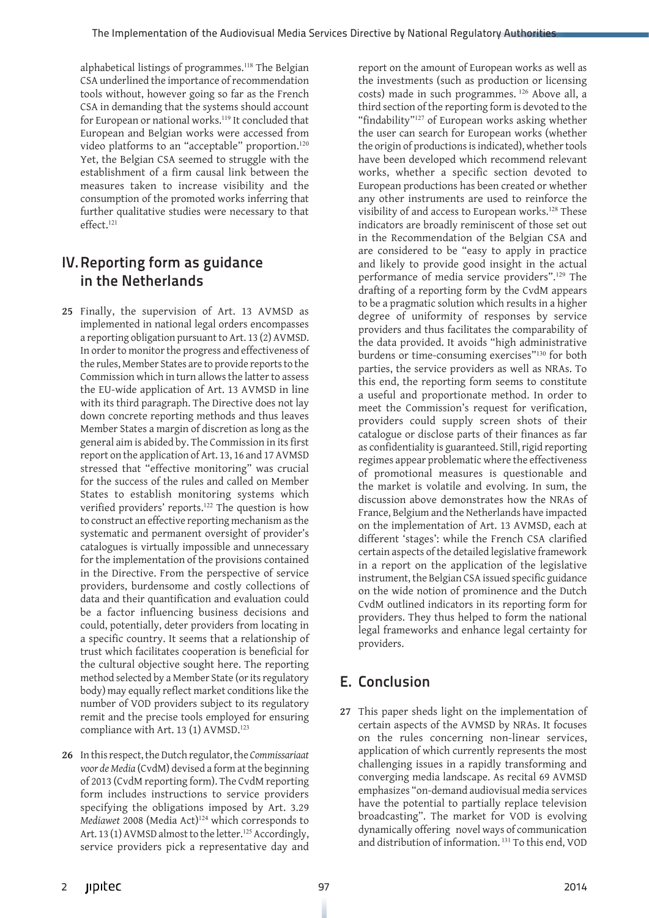alphabetical listings of programmes.<sup>118</sup> The Belgian CSA underlined the importance of recommendation tools without, however going so far as the French CSA in demanding that the systems should account for European or national works.<sup>119</sup> It concluded that European and Belgian works were accessed from video platforms to an "acceptable" proportion.<sup>120</sup> Yet, the Belgian CSA seemed to struggle with the establishment of a firm causal link between the measures taken to increase visibility and the consumption of the promoted works inferring that further qualitative studies were necessary to that  $effert$ <sup>121</sup>

# IV.Reporting form as guidance in the Netherlands

- **25** Finally, the supervision of Art. 13 AVMSD as implemented in national legal orders encompasses a reporting obligation pursuant to Art. 13 (2) AVMSD. In order to monitor the progress and effectiveness of the rules, Member States are to provide reports to the Commission which in turn allows the latter to assess the EU-wide application of Art. 13 AVMSD in line with its third paragraph. The Directive does not lay down concrete reporting methods and thus leaves Member States a margin of discretion as long as the general aim is abided by. The Commission in its first report on the application of Art. 13, 16 and 17 AVMSD stressed that "effective monitoring" was crucial for the success of the rules and called on Member States to establish monitoring systems which verified providers' reports.<sup>122</sup> The question is how to construct an effective reporting mechanism as the systematic and permanent oversight of provider's catalogues is virtually impossible and unnecessary for the implementation of the provisions contained in the Directive. From the perspective of service providers, burdensome and costly collections of data and their quantification and evaluation could be a factor influencing business decisions and could, potentially, deter providers from locating in a specific country. It seems that a relationship of trust which facilitates cooperation is beneficial for the cultural objective sought here. The reporting method selected by a Member State (or its regulatory body) may equally reflect market conditions like the number of VOD providers subject to its regulatory remit and the precise tools employed for ensuring compliance with Art. 13 (1) AVMSD.<sup>123</sup>
- **26** In this respect, the Dutch regulator, the *Commissariaat voor de Media* (CvdM) devised a form at the beginning of 2013 (CvdM reporting form). The CvdM reporting form includes instructions to service providers specifying the obligations imposed by Art. 3.29 *Mediawet* 2008 (Media Act)<sup>124</sup> which corresponds to Art. 13 (1) AVMSD almost to the letter.<sup>125</sup> Accordingly, service providers pick a representative day and

report on the amount of European works as well as the investments (such as production or licensing costs) made in such programmes.<sup>126</sup> Above all, a third section of the reporting form is devoted to the "findability"<sup>127</sup> of European works asking whether the user can search for European works (whether the origin of productions is indicated), whether tools have been developed which recommend relevant works, whether a specific section devoted to European productions has been created or whether any other instruments are used to reinforce the visibility of and access to European works.<sup>128</sup> These indicators are broadly reminiscent of those set out in the Recommendation of the Belgian CSA and are considered to be "easy to apply in practice and likely to provide good insight in the actual performance of media service providers".<sup>129</sup> The drafting of a reporting form by the CvdM appears to be a pragmatic solution which results in a higher degree of uniformity of responses by service providers and thus facilitates the comparability of the data provided. It avoids "high administrative burdens or time-consuming exercises"<sup>130</sup> for both parties, the service providers as well as NRAs. To this end, the reporting form seems to constitute a useful and proportionate method. In order to meet the Commission's request for verification, providers could supply screen shots of their catalogue or disclose parts of their finances as far as confidentiality is guaranteed. Still, rigid reporting regimes appear problematic where the effectiveness of promotional measures is questionable and the market is volatile and evolving. In sum, the discussion above demonstrates how the NRAs of France, Belgium and the Netherlands have impacted on the implementation of Art. 13 AVMSD, each at different 'stages': while the French CSA clarified certain aspects of the detailed legislative framework in a report on the application of the legislative instrument, the Belgian CSA issued specific guidance on the wide notion of prominence and the Dutch CvdM outlined indicators in its reporting form for providers. They thus helped to form the national legal frameworks and enhance legal certainty for providers.

# E. Conclusion

**27** This paper sheds light on the implementation of certain aspects of the AVMSD by NRAs. It focuses on the rules concerning non-linear services, application of which currently represents the most challenging issues in a rapidly transforming and converging media landscape. As recital 69 AVMSD emphasizes "on-demand audiovisual media services have the potential to partially replace television broadcasting". The market for VOD is evolving dynamically offering novel ways of communication and distribution of information. 131 To this end, VOD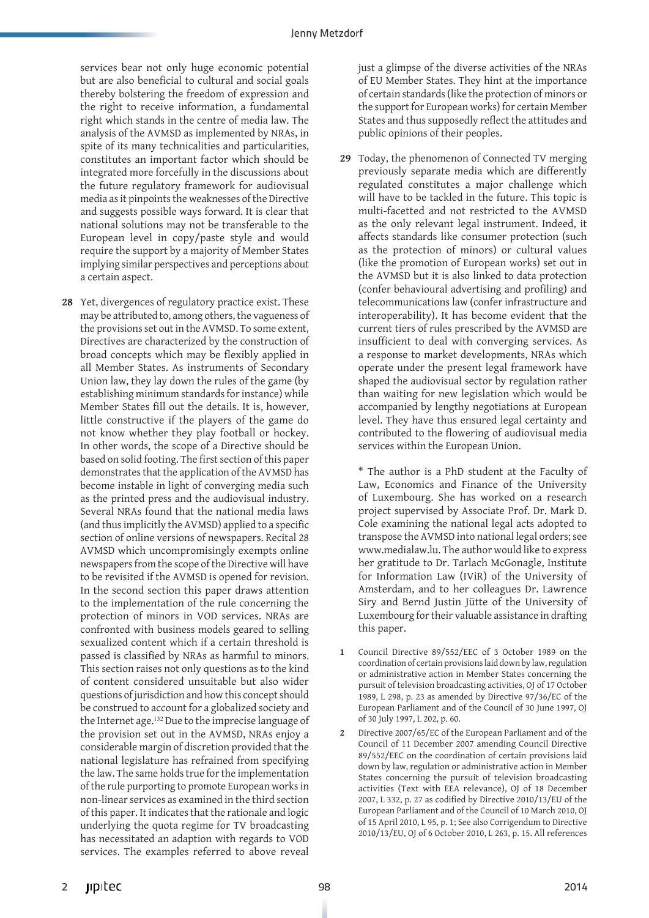services bear not only huge economic potential but are also beneficial to cultural and social goals thereby bolstering the freedom of expression and the right to receive information, a fundamental right which stands in the centre of media law. The analysis of the AVMSD as implemented by NRAs, in spite of its many technicalities and particularities, constitutes an important factor which should be integrated more forcefully in the discussions about the future regulatory framework for audiovisual media as it pinpoints the weaknesses of the Directive and suggests possible ways forward. It is clear that national solutions may not be transferable to the European level in copy/paste style and would require the support by a majority of Member States implying similar perspectives and perceptions about a certain aspect.

**28** Yet, divergences of regulatory practice exist. These may be attributed to, among others, the vagueness of the provisions set out in the AVMSD. To some extent, Directives are characterized by the construction of broad concepts which may be flexibly applied in all Member States. As instruments of Secondary Union law, they lay down the rules of the game (by establishing minimum standards for instance) while Member States fill out the details. It is, however, little constructive if the players of the game do not know whether they play football or hockey. In other words, the scope of a Directive should be based on solid footing. The first section of this paper demonstrates that the application of the AVMSD has become instable in light of converging media such as the printed press and the audiovisual industry. Several NRAs found that the national media laws (and thus implicitly the AVMSD) applied to a specific section of online versions of newspapers. Recital 28 AVMSD which uncompromisingly exempts online newspapers from the scope of the Directive will have to be revisited if the AVMSD is opened for revision. In the second section this paper draws attention to the implementation of the rule concerning the protection of minors in VOD services. NRAs are confronted with business models geared to selling sexualized content which if a certain threshold is passed is classified by NRAs as harmful to minors. This section raises not only questions as to the kind of content considered unsuitable but also wider questions of jurisdiction and how this concept should be construed to account for a globalized society and the Internet age.<sup>132</sup> Due to the imprecise language of the provision set out in the AVMSD, NRAs enjoy a considerable margin of discretion provided that the national legislature has refrained from specifying the law. The same holds true for the implementation of the rule purporting to promote European works in non-linear services as examined in the third section of this paper. It indicates that the rationale and logic underlying the quota regime for TV broadcasting has necessitated an adaption with regards to VOD services. The examples referred to above reveal

just a glimpse of the diverse activities of the NRAs of EU Member States. They hint at the importance of certain standards (like the protection of minors or the support for European works) for certain Member States and thus supposedly reflect the attitudes and public opinions of their peoples.

**29** Today, the phenomenon of Connected TV merging previously separate media which are differently regulated constitutes a major challenge which will have to be tackled in the future. This topic is multi-facetted and not restricted to the AVMSD as the only relevant legal instrument. Indeed, it affects standards like consumer protection (such as the protection of minors) or cultural values (like the promotion of European works) set out in the AVMSD but it is also linked to data protection (confer behavioural advertising and profiling) and telecommunications law (confer infrastructure and interoperability). It has become evident that the current tiers of rules prescribed by the AVMSD are insufficient to deal with converging services. As a response to market developments, NRAs which operate under the present legal framework have shaped the audiovisual sector by regulation rather than waiting for new legislation which would be accompanied by lengthy negotiations at European level. They have thus ensured legal certainty and contributed to the flowering of audiovisual media services within the European Union.

\* The author is a PhD student at the Faculty of Law, Economics and Finance of the University of Luxembourg. She has worked on a research project supervised by Associate Prof. Dr. Mark D. Cole examining the national legal acts adopted to transpose the AVMSD into national legal orders; see www.medialaw.lu. The author would like to express her gratitude to Dr. Tarlach McGonagle, Institute for Information Law (IViR) of the University of Amsterdam, and to her colleagues Dr. Lawrence Siry and Bernd Justin Jütte of the University of Luxembourg for their valuable assistance in drafting this paper.

- **1** Council Directive 89/552/EEC of 3 October 1989 on the coordination of certain provisions laid down by law, regulation or administrative action in Member States concerning the pursuit of television broadcasting activities, OJ of 17 October 1989, L 298, p. 23 as amended by Directive 97/36/EC of the European Parliament and of the Council of 30 June 1997, OJ of 30 July 1997, L 202, p. 60.
- **2** Directive 2007/65/EC of the European Parliament and of the Council of 11 December 2007 amending Council Directive 89/552/EEC on the coordination of certain provisions laid down by law, regulation or administrative action in Member States concerning the pursuit of television broadcasting activities (Text with EEA relevance), OJ of 18 December 2007, L 332, p. 27 as codified by Directive 2010/13/EU of the European Parliament and of the Council of 10 March 2010, OJ of 15 April 2010, L 95, p. 1; See also Corrigendum to Directive 2010/13/EU, OJ of 6 October 2010, L 263, p. 15. All references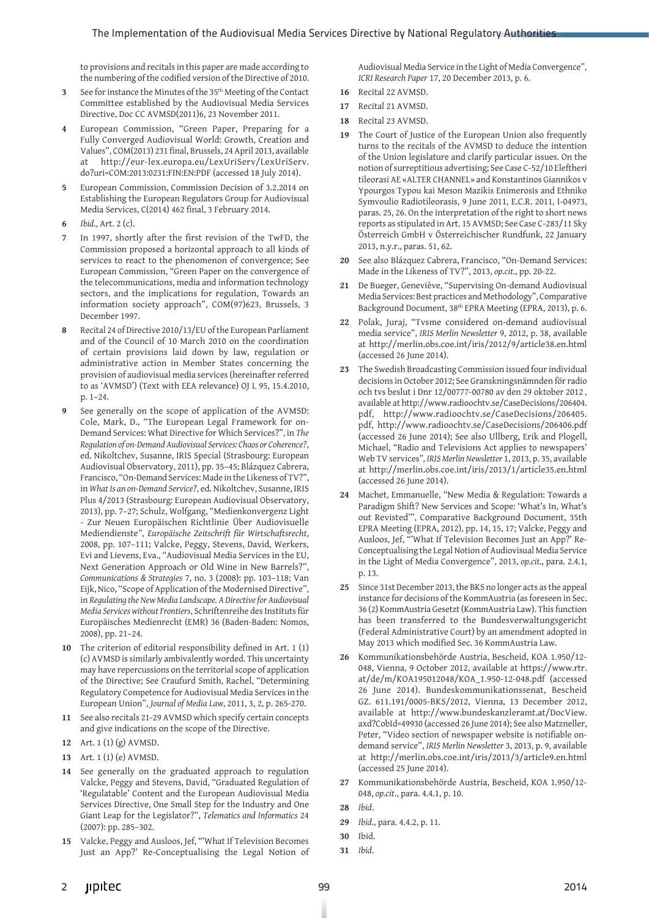to provisions and recitals in this paper are made according to the numbering of the codified version of the Directive of 2010.

- **3** See for instance the Minutes of the 35th Meeting of the Contact Committee established by the Audiovisual Media Services Directive, Doc CC AVMSD(2011)6, 23 November 2011.
- **4** European Commission, "Green Paper, Preparing for a Fully Converged Audiovisual World: Growth, Creation and Values", COM(2013) 231 final, Brussels, 24 April 2013, available at http://eur-lex.europa.eu/LexUriServ/LexUriServ. do?uri=COM:2013:0231:FIN:EN:PDF (accessed 18 July 2014).
- **5** European Commission, Commission Decision of 3.2.2014 on Establishing the European Regulators Group for Audiovisual Media Services, C(2014) 462 final, 3 February 2014.
- **6** *Ibid.*, Art. 2 (c).
- **7** In 1997, shortly after the first revision of the TwFD, the Commission proposed a horizontal approach to all kinds of services to react to the phenomenon of convergence; See European Commission, "Green Paper on the convergence of the telecommunications, media and information technology sectors, and the implications for regulation, Towards an information society approach", COM(97)623, Brussels, 3 December 1997.
- **8** Recital 24 of Directive 2010/13/EU of the European Parliament and of the Council of 10 March 2010 on the coordination of certain provisions laid down by law, regulation or administrative action in Member States concerning the provision of audiovisual media services (hereinafter referred to as 'AVMSD') (Text with EEA relevance) OJ L 95, 15.4.2010, p. 1–24.
- **9** See generally on the scope of application of the AVMSD: Cole, Mark, D., "The European Legal Framework for on-Demand Services: What Directive for Which Services?", in *The Regulation of on-Demand Audiovisual Services: Chaos or Coherence?*, ed. Nikoltchev, Susanne, IRIS Special (Strasbourg: European Audiovisual Observatory, 2011), pp. 35–45; Blázquez Cabrera, Francisco, "On-Demand Services: Made in the Likeness of TV?", in *What Is an on-Demand Service?*, ed. Nikoltchev, Susanne, IRIS Plus 4/2013 (Strasbourg: European Audiovisual Observatory, 2013), pp. 7–27; Schulz, Wolfgang, "Medienkonvergenz Light - Zur Neuen Europäischen Richtlinie Über Audiovisuelle Mediendienste*"*, *Europäische Zeitschrift für Wirtschaftsrecht*, 2008, pp. 107–111; Valcke, Peggy, Stevens, David, Werkers, Evi and Lievens, Eva., "Audiovisual Media Services in the EU, Next Generation Approach or Old Wine in New Barrels?", *Communications & Strategies* 7, no. 3 (2008): pp. 103–118; Van Eijk, Nico, "Scope of Application of the Modernised Directive", in *Regulating the New Media Landscape. A Directive for Audiovisual Media Services without Frontiers*, Schriftenreihe des Instituts für Europäisches Medienrecht (EMR) 36 (Baden-Baden: Nomos, 2008), pp. 21–24.
- **10** The criterion of editorial responsibility defined in Art. 1 (1) (c) AVMSD is similarly ambivalently worded. This uncertainty may have repercussions on the territorial scope of application of the Directive; See Craufurd Smith, Rachel, "Determining Regulatory Competence for Audiovisual Media Services in the European Union", *Journal of Media Law*, 2011, 3, 2, p. 265-270.
- **11** See also recitals 21-29 AVMSD which specify certain concepts and give indications on the scope of the Directive.
- **12** Art. 1 (1) (g) AVMSD.
- **13** Art. 1 (1) (e) AVMSD.
- **14** See generally on the graduated approach to regulation Valcke, Peggy and Stevens, David, "Graduated Regulation of 'Regulatable' Content and the European Audiovisual Media Services Directive, One Small Step for the Industry and One Giant Leap for the Legislator?", *Telematics and Informatics* 24 (2007): pp. 285–302.
- **15** Valcke, Peggy and Ausloos, Jef, "'What If Television Becomes Just an App?' Re-Conceptualising the Legal Notion of

Audiovisual Media Service in the Light of Media Convergence", *ICRI Research Paper* 17, 20 December 2013, p. 6.

- **16** Recital 22 AVMSD.
- **17** Recital 21 AVMSD.
- **18** Recital 23 AVMSD.
- **19** The Court of Justice of the European Union also frequently turns to the recitals of the AVMSD to deduce the intention of the Union legislature and clarify particular issues. On the notion of surreptitious advertising; See Case C-52/10 Eleftheri tileorasi AE «ALTER CHANNEL» and Konstantinos Giannikos v Ypourgos Typou kai Meson Mazikis Enimerosis and Ethniko Symvoulio Radiotileorasis, 9 June 2011, E.C.R. 2011, I-04973, paras. 25, 26. On the interpretation of the right to short news reports as stipulated in Art. 15 AVMSD; See Case C-283/11 Sky Österreich GmbH v Österreichischer Rundfunk, 22 January 2013, n.y.r., paras. 51, 62.
- **20** See also Blázquez Cabrera, Francisco, "On-Demand Services: Made in the Likeness of TV?", 2013, *op.cit.*, pp. 20-22.
- **21** De Bueger, Geneviève, "Supervising On-demand Audiovisual Media Services: Best practices and Methodology", Comparative Background Document, 38th EPRA Meeting (EPRA, 2013), p. 6.
- **22** Polak, Juraj, "Tvsme considered on-demand audiovisual media service", *IRIS Merlin Newsletter* 9, 2012, p. 38, available at http://merlin.obs.coe.int/iris/2012/9/article38.en.html (accessed 26 June 2014).
- **23** The Swedish Broadcasting Commission issued four individual decisions in October 2012; See Granskningsnämnden för radio och tvs beslut i Dnr 12/00777-00780 av den 29 oktober 2012 *,*  available at http://www.radioochtv.se/CaseDecisions/206404. pdf, http://www.radioochtv.se/CaseDecisions/206405. pdf, http://www.radioochtv.se/CaseDecisions/206406.pdf (accessed 26 June 2014); See also Ullberg, Erik and Plogell, Michael, "Radio and Televisions Act applies to newspapers' Web TV services"*, IRIS Merlin Newsletter* 1, 2013, p. 35, available at http://merlin.obs.coe.int/iris/2013/1/article35.en.html (accessed 26 June 2014).
- **24** Machet, Emmanuelle, "New Media & Regulation: Towards a Paradigm Shift? New Services and Scope: 'What's In, What's out Revisted'", Comparative Background Document, 35th EPRA Meeting (EPRA, 2012), pp. 14, 15, 17; Valcke, Peggy and Ausloos, Jef, "'What If Television Becomes Just an App?' Re-Conceptualising the Legal Notion of Audiovisual Media Service in the Light of Media Convergence", 2013, *op.cit.*, para. 2.4.1, p. 13.
- **25** Since 31st December 2013, the BKS no longer acts as the appeal instance for decisions of the KommAustria (as foreseen in Sec. 36 (2) KommAustria Gesetzt (KommAustria Law). This function has been transferred to the Bundesverwaltungsgericht (Federal Administrative Court) by an amendment adopted in May 2013 which modified Sec. 36 KommAustria Law.
- **26** Kommunikationsbehörde Austria, Bescheid, KOA 1.950/12- 048, Vienna, 9 October 2012, available at https://www.rtr. at/de/m/KOA195012048/KOA\_1.950-12-048.pdf (accessed 26 June 2014). Bundeskommunikationssenat, Bescheid GZ. 611.191/0005-BKS/2012, Vienna, 13 December 2012, available at http://www.bundeskanzleramt.at/DocView. axd?CobId=49930 (accessed 26 June 2014); See also Matzneller, Peter, "Video section of newspaper website is notifiable ondemand service", *IRIS Merlin Newsletter* 3, 2013, p. 9, available at http://merlin.obs.coe.int/iris/2013/3/article9.en.html (accessed 25 June 2014).
- **27** Kommunikationsbehörde Austria, Bescheid, KOA 1.950/12- 048, *op.cit*., para. 4.4.1, p. 10.
- **28** *Ibid*.
- **29** *Ibid.*, para. 4.4.2, p. 11.
- **30** Ibid.
- **31** *Ibid*.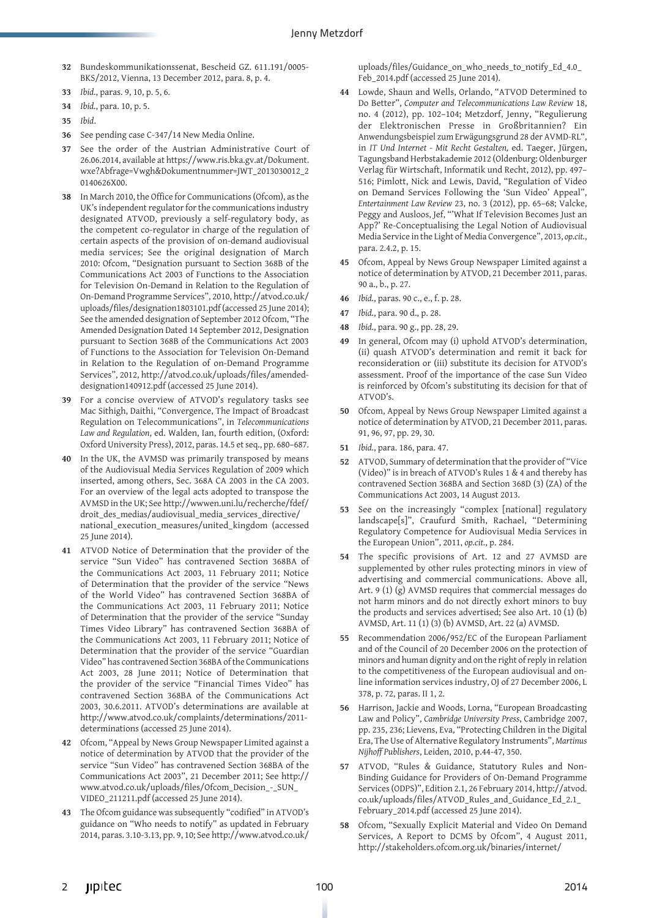- **32** Bundeskommunikationssenat, Bescheid GZ. 611.191/0005- BKS/2012, Vienna, 13 December 2012, para. 8, p. 4.
- **33** *Ibid.*, paras. 9, 10, p. 5, 6.
- **34** *Ibid.*, para. 10, p. 5.
- **35** *Ibid*.
- **36** See pending case C-347/14 New Media Online.
- **37** See the order of the Austrian Administrative Court of 26.06.2014, available at https://www.ris.bka.gv.at/Dokument. wxe?Abfrage=Vwgh&Dokumentnummer=JWT\_2013030012\_2 0140626X00.
- **38** In March 2010, the Office for Communications (Ofcom), as the UK's independent regulator for the communications industry designated ATVOD, previously a self-regulatory body, as the competent co-regulator in charge of the regulation of certain aspects of the provision of on-demand audiovisual media services; See the original designation of March 2010: Ofcom, "Designation pursuant to Section 368B of the Communications Act 2003 of Functions to the Association for Television On-Demand in Relation to the Regulation of On-Demand Programme Services", 2010, http://atvod.co.uk/ uploads/files/designation1803101.pdf (accessed 25 June 2014); See the amended designation of September 2012 Ofcom, "The Amended Designation Dated 14 September 2012, Designation pursuant to Section 368B of the Communications Act 2003 of Functions to the Association for Television On-Demand in Relation to the Regulation of on-Demand Programme Services", 2012, http://atvod.co.uk/uploads/files/amendeddesignation140912.pdf (accessed 25 June 2014).
- **39** For a concise overview of ATVOD's regulatory tasks see Mac Sithigh, Daithi, "Convergence, The Impact of Broadcast Regulation on Telecommunications", in *Telecommunications Law and Regulation*, ed. Walden, Ian, fourth edition, (Oxford: Oxford University Press), 2012, paras. 14.5 et seq., pp. 680–687.
- **40** In the UK, the AVMSD was primarily transposed by means of the Audiovisual Media Services Regulation of 2009 which inserted, among others, Sec. 368A CA 2003 in the CA 2003. For an overview of the legal acts adopted to transpose the AVMSD in the UK; See http://wwwen.uni.lu/recherche/fdef/ droit\_des\_medias/audiovisual\_media\_services\_directive/ national\_execution\_measures/united\_kingdom (accessed 25 June 2014).
- **41** ATVOD Notice of Determination that the provider of the service "Sun Video" has contravened Section 368BA of the Communications Act 2003, 11 February 2011; Notice of Determination that the provider of the service "News of the World Video" has contravened Section 368BA of the Communications Act 2003, 11 February 2011; Notice of Determination that the provider of the service "Sunday Times Video Library" has contravened Section 368BA of the Communications Act 2003, 11 February 2011; Notice of Determination that the provider of the service "Guardian Video" has contravened Section 368BA of the Communications Act 2003, 28 June 2011; Notice of Determination that the provider of the service "Financial Times Video" has contravened Section 368BA of the Communications Act 2003, 30.6.2011. ATVOD's determinations are available at http://www.atvod.co.uk/complaints/determinations/2011 determinations (accessed 25 June 2014).
- **42** Ofcom, "Appeal by News Group Newspaper Limited against a notice of determination by ATVOD that the provider of the service "Sun Video" has contravened Section 368BA of the Communications Act 2003", 21 December 2011; See http:// www.atvod.co.uk/uploads/files/Ofcom\_Decision\_-\_SUN\_ VIDEO\_211211.pdf (accessed 25 June 2014).
- **43** The Ofcom guidance was subsequently "codified" in ATVOD's guidance on "Who needs to notify" as updated in February 2014, paras. 3.10-3.13, pp. 9, 10; See http://www.atvod.co.uk/

uploads/files/Guidance\_on\_who\_needs\_to\_notify\_Ed\_4.0\_ Feb\_2014.pdf (accessed 25 June 2014).

- **44** Lowde, Shaun and Wells, Orlando, "ATVOD Determined to Do Better", *Computer and Telecommunications Law Review* 18, no. 4 (2012), pp. 102–104; Metzdorf, Jenny, "Regulierung der Elektronischen Presse in Großbritannien? Ein Anwendungsbeispiel zum Erwägungsgrund 28 der AVMD-RL", in *IT Und Internet - Mit Recht Gestalten,* ed. Taeger, Jürgen, Tagungsband Herbstakademie 2012 (Oldenburg: Oldenburger Verlag für Wirtschaft, Informatik und Recht, 2012), pp. 497– 516; Pimlott, Nick and Lewis, David, "Regulation of Video on Demand Services Following the 'Sun Video' Appeal", *Entertainment Law Review* 23, no. 3 (2012), pp. 65–68; Valcke, Peggy and Ausloos, Jef, "'What If Television Becomes Just an App?' Re-Conceptualising the Legal Notion of Audiovisual Media Service in the Light of Media Convergence", 2013, *op.cit.*, para. 2.4.2, p. 15.
- **45** Ofcom, Appeal by News Group Newspaper Limited against a notice of determination by ATVOD, 21 December 2011, paras. 90 a., b., p. 27.
- **46** *Ibid.*, paras. 90 c., e., f. p. 28.
- **47** *Ibid.*, para. 90 d., p. 28.
- **48** *Ibid.*, para. 90 g., pp. 28, 29.
- **49** In general, Ofcom may (i) uphold ATVOD's determination, (ii) quash ATVOD's determination and remit it back for reconsideration or (iii) substitute its decision for ATVOD's assessment. Proof of the importance of the case Sun Video is reinforced by Ofcom's substituting its decision for that of ATVOD's.
- **50** Ofcom, Appeal by News Group Newspaper Limited against a notice of determination by ATVOD, 21 December 2011, paras. 91, 96, 97, pp. 29, 30.
- **51** *Ibid.*, para. 186, para. 47.
- **52** ATVOD, Summary of determination that the provider of "Vice (Video)" is in breach of ATVOD's Rules 1 & 4 and thereby has contravened Section 368BA and Section 368D (3) (ZA) of the Communications Act 2003, 14 August 2013.
- **53** See on the increasingly "complex [national] regulatory landscape[s]", Craufurd Smith, Rachael, "Determining Regulatory Competence for Audiovisual Media Services in the European Union", 2011, *op.cit.*, p. 284.
- **54** The specific provisions of Art. 12 and 27 AVMSD are supplemented by other rules protecting minors in view of advertising and commercial communications. Above all, Art. 9 (1) (g) AVMSD requires that commercial messages do not harm minors and do not directly exhort minors to buy the products and services advertised; See also Art. 10 (1) (b) AVMSD, Art. 11 (1) (3) (b) AVMSD, Art. 22 (a) AVMSD.
- **55** Recommendation 2006/952/EC of the European Parliament and of the Council of 20 December 2006 on the protection of minors and human dignity and on the right of reply in relation to the competitiveness of the European audiovisual and online information services industry, OJ of 27 December 2006, L 378, p. 72, paras. II 1, 2.
- **56** Harrison, Jackie and Woods, Lorna, "European Broadcasting Law and Policy", *Cambridge University Press*, Cambridge 2007, pp. 235, 236; Lievens, Eva, "Protecting Children in the Digital Era, The Use of Alternative Regulatory Instruments", *Martinus Nijhoff Publishers*, Leiden, 2010, p.44-47, 350.
- **57** ATVOD, "Rules & Guidance, Statutory Rules and Non-Binding Guidance for Providers of On-Demand Programme Services (ODPS)", Edition 2.1, 26 February 2014, http://atvod. co.uk/uploads/files/ATVOD\_Rules\_and\_Guidance\_Ed\_2.1\_ February\_2014.pdf (accessed 25 June 2014).
- **58** Ofcom, "Sexually Explicit Material and Video On Demand Services, A Report to DCMS by Ofcom", 4 August 2011, http://stakeholders.ofcom.org.uk/binaries/internet/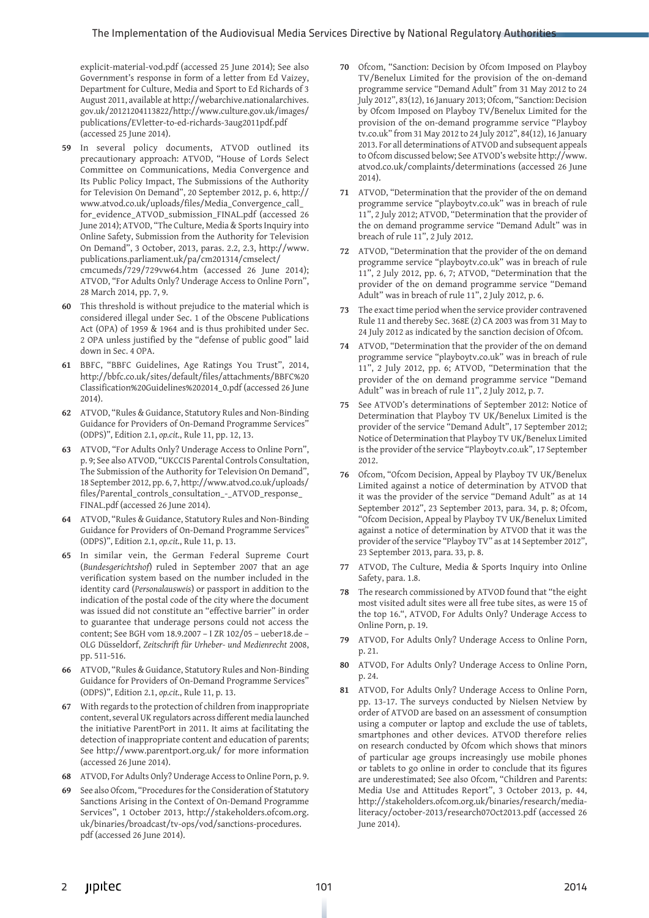#### The Implementation of the Audiovisual Media Services Directive by National Regulatory Authorities

explicit-material-vod.pdf (accessed 25 June 2014); See also Government's response in form of a letter from Ed Vaizey, Department for Culture, Media and Sport to Ed Richards of 3 August 2011, available at http://webarchive.nationalarchives. gov.uk/20121204113822/http://www.culture.gov.uk/images/ publications/EVletter-to-ed-richards-3aug2011pdf.pdf (accessed 25 June 2014).

- **59** In several policy documents, ATVOD outlined its precautionary approach: ATVOD, "House of Lords Select Committee on Communications, Media Convergence and Its Public Policy Impact, The Submissions of the Authority for Television On Demand", 20 September 2012, p. 6, http:// www.atvod.co.uk/uploads/files/Media\_Convergence\_call\_ for\_evidence\_ATVOD\_submission\_FINAL.pdf (accessed 26 June 2014); ATVOD, "The Culture, Media & Sports Inquiry into Online Safety, Submission from the Authority for Television On Demand", 3 October, 2013, paras. 2.2, 2.3, http://www. publications.parliament.uk/pa/cm201314/cmselect/ cmcumeds/729/729vw64.htm (accessed 26 June 2014); ATVOD, "For Adults Only? Underage Access to Online Porn", 28 March 2014, pp. 7, 9.
- **60** This threshold is without prejudice to the material which is considered illegal under Sec. 1 of the Obscene Publications Act (OPA) of 1959 & 1964 and is thus prohibited under Sec. 2 OPA unless justified by the "defense of public good" laid down in Sec. 4 OPA.
- **61** BBFC, "BBFC Guidelines, Age Ratings You Trust", 2014, http://bbfc.co.uk/sites/default/files/attachments/BBFC%20 Classification%20Guidelines%202014\_0.pdf (accessed 26 June 2014).
- **62** ATVOD, "Rules & Guidance, Statutory Rules and Non-Binding Guidance for Providers of On-Demand Programme Services" (ODPS)", Edition 2.1, *op.cit.*, Rule 11, pp. 12, 13.
- **63** ATVOD, "For Adults Only? Underage Access to Online Porn", p. 9; See also ATVOD, "UKCCIS Parental Controls Consultation, The Submission of the Authority for Television On Demand", 18 September 2012, pp. 6, 7, http://www.atvod.co.uk/uploads/ files/Parental\_controls\_consultation\_-\_ATVOD\_response\_ FINAL.pdf (accessed 26 June 2014).
- **64** ATVOD, "Rules & Guidance, Statutory Rules and Non-Binding Guidance for Providers of On-Demand Programme Services" (ODPS)", Edition 2.1, *op.cit.*, Rule 11, p. 13.
- **65** In similar vein, the German Federal Supreme Court (*Bundesgerichtshof*) ruled in September 2007 that an age verification system based on the number included in the identity card (*Personalausweis*) or passport in addition to the indication of the postal code of the city where the document was issued did not constitute an "effective barrier" in order to guarantee that underage persons could not access the content; See BGH vom 18.9.2007 – I ZR 102/05 – ueber18.de – OLG Düsseldorf, *Zeitschrift für Urheber- und Medienrecht* 2008, pp. 511-516.
- **66** ATVOD, "Rules & Guidance, Statutory Rules and Non-Binding Guidance for Providers of On-Demand Programme Services" (ODPS)", Edition 2.1, *op.cit.*, Rule 11, p. 13.
- **67** With regards to the protection of children from inappropriate content, several UK regulators across different media launched the initiative ParentPort in 2011. It aims at facilitating the detection of inappropriate content and education of parents; See http://www.parentport.org.uk/ for more information (accessed 26 June 2014).
- **68** ATVOD, For Adults Only? Underage Access to Online Porn, p. 9.
- **69** See also Ofcom, "Procedures for the Consideration of Statutory Sanctions Arising in the Context of On-Demand Programme Services", 1 October 2013, http://stakeholders.ofcom.org. uk/binaries/broadcast/tv-ops/vod/sanctions-procedures. pdf (accessed 26 June 2014).
- **70** Ofcom, "Sanction: Decision by Ofcom Imposed on Playboy TV/Benelux Limited for the provision of the on-demand programme service "Demand Adult" from 31 May 2012 to 24 July 2012", 83(12), 16 January 2013; Ofcom, "Sanction: Decision by Ofcom Imposed on Playboy TV/Benelux Limited for the provision of the on-demand programme service "Playboy tv.co.uk" from 31 May 2012 to 24 July 2012", 84(12), 16 January 2013. For all determinations of ATVOD and subsequent appeals to Ofcom discussed below; See ATVOD's website http://www. atvod.co.uk/complaints/determinations (accessed 26 June 2014).
- **71** ATVOD, "Determination that the provider of the on demand programme service "playboytv.co.uk" was in breach of rule 11", 2 July 2012; ATVOD, "Determination that the provider of the on demand programme service "Demand Adult" was in breach of rule 11", 2 July 2012.
- **72** ATVOD, "Determination that the provider of the on demand programme service "playboytv.co.uk" was in breach of rule 11", 2 July 2012, pp. 6, 7; ATVOD, "Determination that the provider of the on demand programme service "Demand Adult" was in breach of rule 11", 2 July 2012, p. 6.
- **73** The exact time period when the service provider contravened Rule 11 and thereby Sec. 368E (2) CA 2003 was from 31 May to 24 July 2012 as indicated by the sanction decision of Ofcom.
- **74** ATVOD, "Determination that the provider of the on demand programme service "playboytv.co.uk" was in breach of rule 11", 2 July 2012, pp. 6; ATVOD, "Determination that the provider of the on demand programme service "Demand Adult" was in breach of rule 11", 2 July 2012, p. 7.
- **75** See ATVOD's determinations of September 2012: Notice of Determination that Playboy TV UK/Benelux Limited is the provider of the service "Demand Adult", 17 September 2012; Notice of Determination that Playboy TV UK/Benelux Limited is the provider of the service "Playboytv.co.uk", 17 September 2012.
- **76** Ofcom, "Ofcom Decision, Appeal by Playboy TV UK/Benelux Limited against a notice of determination by ATVOD that it was the provider of the service "Demand Adult" as at 14 September 2012", 23 September 2013, para. 34, p. 8; Ofcom, "Ofcom Decision, Appeal by Playboy TV UK/Benelux Limited against a notice of determination by ATVOD that it was the provider of the service "Playboy TV" as at 14 September 2012", 23 September 2013, para. 33, p. 8.
- **77** ATVOD, The Culture, Media & Sports Inquiry into Online Safety, para. 1.8.
- **78** The research commissioned by ATVOD found that "the eight most visited adult sites were all free tube sites, as were 15 of the top 16.", ATVOD, For Adults Only? Underage Access to Online Porn, p. 19.
- **79** ATVOD, For Adults Only? Underage Access to Online Porn, p. 21.
- **80** ATVOD, For Adults Only? Underage Access to Online Porn, p. 24.
- **81** ATVOD, For Adults Only? Underage Access to Online Porn, pp. 13-17. The surveys conducted by Nielsen Netview by order of ATVOD are based on an assessment of consumption using a computer or laptop and exclude the use of tablets, smartphones and other devices. ATVOD therefore relies on research conducted by Ofcom which shows that minors of particular age groups increasingly use mobile phones or tablets to go online in order to conclude that its figures are underestimated; See also Ofcom, "Children and Parents: Media Use and Attitudes Report", 3 October 2013, p. 44, http://stakeholders.ofcom.org.uk/binaries/research/medialiteracy/october-2013/research07Oct2013.pdf (accessed 26 June 2014).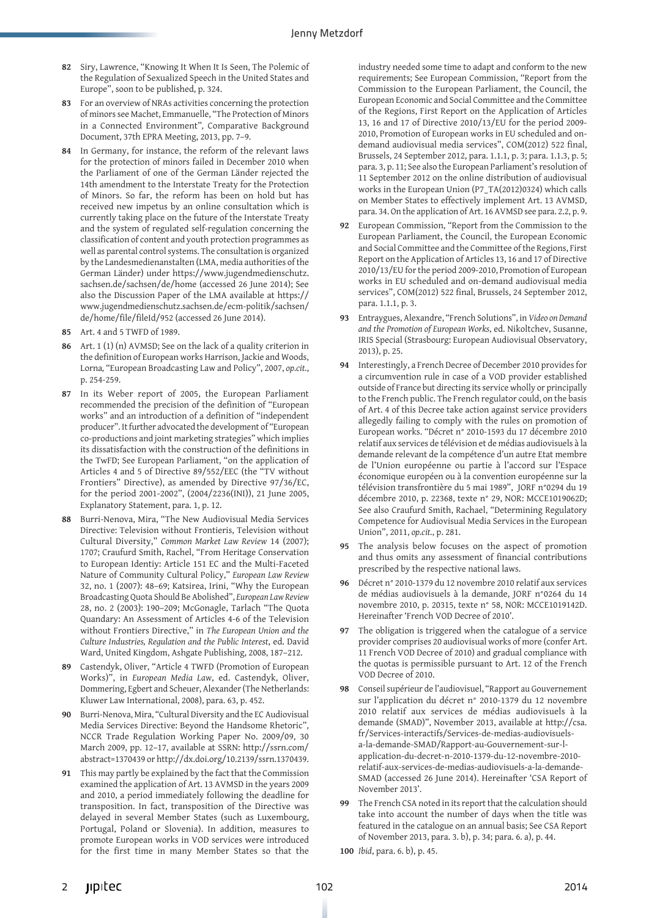- **82** Siry, Lawrence, "Knowing It When It Is Seen, The Polemic of the Regulation of Sexualized Speech in the United States and Europe", soon to be published, p. 324.
- **83** For an overview of NRAs activities concerning the protection of minors see Machet, Emmanuelle, "The Protection of Minors in a Connected Environment"*,* Comparative Background Document, 37th EPRA Meeting, 2013, pp. 7–9.
- **84** In Germany, for instance, the reform of the relevant laws for the protection of minors failed in December 2010 when the Parliament of one of the German Länder rejected the 14th amendment to the Interstate Treaty for the Protection of Minors. So far, the reform has been on hold but has received new impetus by an online consultation which is currently taking place on the future of the Interstate Treaty and the system of regulated self-regulation concerning the classification of content and youth protection programmes as well as parental control systems. The consultation is organized by the Landesmedienanstalten (LMA, media authorities of the German Länder) under https://www.jugendmedienschutz. sachsen.de/sachsen/de/home (accessed 26 June 2014); See also the Discussion Paper of the LMA available at https:// www.jugendmedienschutz.sachsen.de/ecm-politik/sachsen/ de/home/file/fileId/952 (accessed 26 June 2014).
- **85** Art. 4 and 5 TWFD of 1989.
- **86** Art. 1 (1) (n) AVMSD; See on the lack of a quality criterion in the definition of European works Harrison, Jackie and Woods, Lorna*,* "European Broadcasting Law and Policy", 2007, *op.cit.*, p. 254-259.
- **87** In its Weber report of 2005, the European Parliament recommended the precision of the definition of "European works" and an introduction of a definition of "independent producer". It further advocated the development of "European co-productions and joint marketing strategies" which implies its dissatisfaction with the construction of the definitions in the TwFD; See European Parliament, "on the application of Articles 4 and 5 of Directive 89/552/EEC (the "TV without Frontiers" Directive), as amended by Directive 97/36/EC, for the period 2001-2002", (2004/2236(INI)), 21 June 2005, Explanatory Statement, para. 1, p. 12.
- **88** Burri-Nenova, Mira, "The New Audiovisual Media Services Directive: Television without Frontieris, Television without Cultural Diversity," *Common Market Law Review* 14 (2007); 1707; Craufurd Smith, Rachel, "From Heritage Conservation to European Identiy: Article 151 EC and the Multi-Faceted Nature of Community Cultural Policy," *European Law Review* 32, no. 1 (2007): 48–69; Katsirea, Irini, "Why the European Broadcasting Quota Should Be Abolished", *European Law Review* 28, no. 2 (2003): 190–209; McGonagle, Tarlach "The Quota Quandary: An Assessment of Articles 4-6 of the Television without Frontiers Directive," in *The European Union and the Culture Industries, Regulation and the Public Interest*, ed. David Ward, United Kingdom, Ashgate Publishing, 2008, 187–212.
- **89** Castendyk, Oliver, "Article 4 TWFD (Promotion of European Works)", in *European Media Law*, ed. Castendyk, Oliver, Dommering, Egbert and Scheuer, Alexander (The Netherlands: Kluwer Law International, 2008), para. 63, p. 452.
- **90** Burri-Nenova, Mira, "Cultural Diversity and the EC Audiovisual Media Services Directive: Beyond the Handsome Rhetoric", NCCR Trade Regulation Working Paper No. 2009/09, 30 March 2009, pp. 12–17, available at SSRN: http://ssrn.com/ abstract=1370439 or http://dx.doi.org/10.2139/ssrn.1370439.
- **91** This may partly be explained by the fact that the Commission examined the application of Art. 13 AVMSD in the years 2009 and 2010, a period immediately following the deadline for transposition. In fact, transposition of the Directive was delayed in several Member States (such as Luxembourg, Portugal, Poland or Slovenia). In addition, measures to promote European works in VOD services were introduced for the first time in many Member States so that the

industry needed some time to adapt and conform to the new requirements; See European Commission, "Report from the Commission to the European Parliament, the Council, the European Economic and Social Committee and the Committee of the Regions, First Report on the Application of Articles 13, 16 and 17 of Directive 2010/13/EU for the period 2009- 2010, Promotion of European works in EU scheduled and ondemand audiovisual media services", COM(2012) 522 final, Brussels, 24 September 2012, para. 1.1.1, p. 3; para. 1.1.3, p. 5; para. 3, p. 11; See also the European Parliament's resolution of 11 September 2012 on the online distribution of audiovisual works in the European Union (P7\_TA(2012)0324) which calls on Member States to effectively implement Art. 13 AVMSD, para. 34. On the application of Art. 16 AVMSD see para. 2.2, p. 9.

- **92** European Commission, "Report from the Commission to the European Parliament, the Council, the European Economic and Social Committee and the Committee of the Regions, First Report on the Application of Articles 13, 16 and 17 of Directive 2010/13/EU for the period 2009-2010, Promotion of European works in EU scheduled and on-demand audiovisual media services", COM(2012) 522 final, Brussels, 24 September 2012, para. 1.1.1, p. 3.
- **93** Entraygues, Alexandre, "French Solutions", in *Video on Demand and the Promotion of European Works*, ed. Nikoltchev, Susanne, IRIS Special (Strasbourg: European Audiovisual Observatory, 2013), p. 25.
- **94** Interestingly, a French Decree of December 2010 provides for a circumvention rule in case of a VOD provider established outside of France but directing its service wholly or principally to the French public. The French regulator could, on the basis of Art. 4 of this Decree take action against service providers allegedly failing to comply with the rules on promotion of European works. "Décret n° 2010-1593 du 17 décembre 2010 relatif aux services de télévision et de médias audiovisuels à la demande relevant de la compétence d'un autre Etat membre de l'Union européenne ou partie à l'accord sur l'Espace économique européen ou à la convention européenne sur la télévision transfrontière du 5 mai 1989", JORF n°0294 du 19 décembre 2010, p. 22368, texte n° 29, NOR: MCCE1019062D; See also Craufurd Smith, Rachael, "Determining Regulatory Competence for Audiovisual Media Services in the European Union", 2011, *op.cit.*, p. 281.
- **95** The analysis below focuses on the aspect of promotion and thus omits any assessment of financial contributions prescribed by the respective national laws.
- **96** Décret n° 2010-1379 du 12 novembre 2010 relatif aux services de médias audiovisuels à la demande, JORF n°0264 du 14 novembre 2010, p. 20315, texte n° 58, NOR: MCCE1019142D. Hereinafter 'French VOD Decree of 2010'.
- **97** The obligation is triggered when the catalogue of a service provider comprises 20 audiovisual works of more (confer Art. 11 French VOD Decree of 2010) and gradual compliance with the quotas is permissible pursuant to Art. 12 of the French VOD Decree of 2010.
- **98** Conseil supérieur de l'audiovisuel, "Rapport au Gouvernement sur l'application du décret n° 2010-1379 du 12 novembre 2010 relatif aux services de médias audiovisuels à la demande (SMAD)", November 2013, available at http://csa. fr/Services-interactifs/Services-de-medias-audiovisuelsa-la-demande-SMAD/Rapport-au-Gouvernement-sur-lapplication-du-decret-n-2010-1379-du-12-novembre-2010 relatif-aux-services-de-medias-audiovisuels-a-la-demande-SMAD (accessed 26 June 2014). Hereinafter 'CSA Report of November 2013'.
- **99** The French CSA noted in its report that the calculation should take into account the number of days when the title was featured in the catalogue on an annual basis; See CSA Report of November 2013, para. 3. b), p. 34; para. 6. a), p. 44.
- **100** *Ibid*, para. 6. b), p. 45.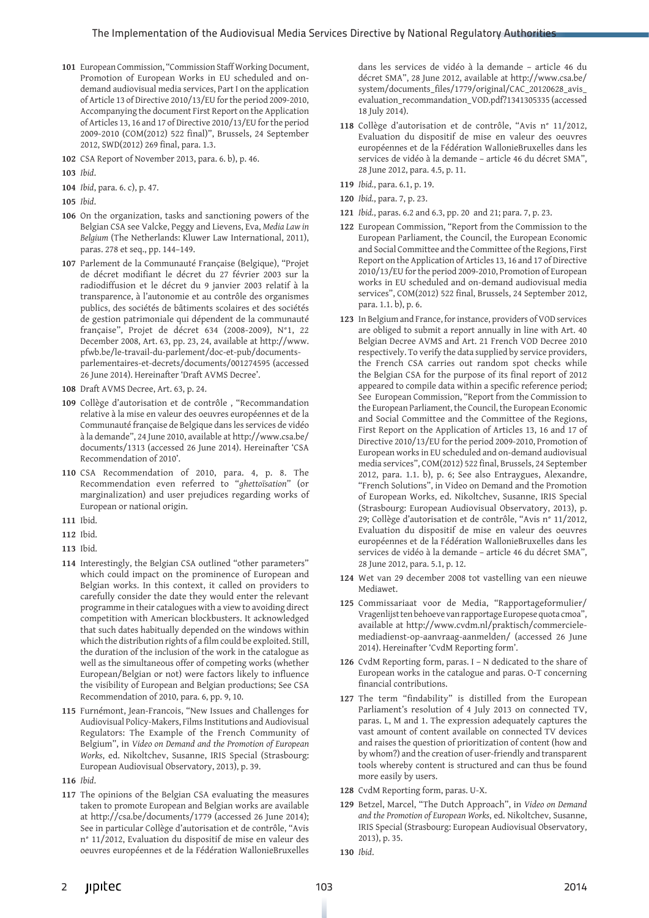- **101** European Commission, "Commission Staff Working Document, Promotion of European Works in EU scheduled and ondemand audiovisual media services, Part I on the application of Article 13 of Directive 2010/13/EU for the period 2009-2010, Accompanying the document First Report on the Application of Articles 13, 16 and 17 of Directive 2010/13/EU for the period 2009-2010 (COM(2012) 522 final)", Brussels, 24 September 2012, SWD(2012) 269 final, para. 1.3.
- **102** CSA Report of November 2013, para. 6. b), p. 46.
- **103** *Ibid*.
- **104** *Ibid*, para. 6. c), p. 47.
- **105** *Ibid*.
- **106** On the organization, tasks and sanctioning powers of the Belgian CSA see Valcke, Peggy and Lievens, Eva, *Media Law in Belgium* (The Netherlands: Kluwer Law International, 2011), paras. 278 et seq., pp. 144–149.
- **107** Parlement de la Communauté Française (Belgique), "Projet de décret modifiant le décret du 27 février 2003 sur la radiodiffusion et le décret du 9 janvier 2003 relatif à la transparence, à l'autonomie et au contrôle des organismes publics, des sociétés de bâtiments scolaires et des sociétés de gestion patrimoniale qui dépendent de la communauté française", Projet de décret 634 (2008-2009), N°1, 22 December 2008, Art. 63, pp. 23, 24, available at http://www. pfwb.be/le-travail-du-parlement/doc-et-pub/documentsparlementaires-et-decrets/documents/001274595 (accessed 26 June 2014). Hereinafter 'Draft AVMS Decree'.
- **108** Draft AVMS Decree, Art. 63, p. 24.
- **109** Collège d'autorisation et de contrôle , "Recommandation relative à la mise en valeur des oeuvres européennes et de la Communauté française de Belgique dans les services de vidéo à la demande", 24 June 2010, available at http://www.csa.be/ documents/1313 (accessed 26 June 2014). Hereinafter 'CSA Recommendation of 2010'.
- **110** CSA Recommendation of 2010, para. 4, p. 8. The Recommendation even referred to "*ghettoïsation*" (or marginalization) and user prejudices regarding works of European or national origin.
- **111** Ibid.
- **112** Ibid.
- **113** Ibid.
- **114** Interestingly, the Belgian CSA outlined "other parameters" which could impact on the prominence of European and Belgian works. In this context, it called on providers to carefully consider the date they would enter the relevant programme in their catalogues with a view to avoiding direct competition with American blockbusters. It acknowledged that such dates habitually depended on the windows within which the distribution rights of a film could be exploited. Still, the duration of the inclusion of the work in the catalogue as well as the simultaneous offer of competing works (whether European/Belgian or not) were factors likely to influence the visibility of European and Belgian productions; See CSA Recommendation of 2010, para. 6, pp. 9, 10.
- **115** Furnémont, Jean-Francois, "New Issues and Challenges for Audiovisual Policy-Makers, Films Institutions and Audiovisual Regulators: The Example of the French Community of Belgium", in *Video on Demand and the Promotion of European Works*, ed. Nikoltchev, Susanne, IRIS Special (Strasbourg: European Audiovisual Observatory, 2013), p. 39.
- **116** *Ibid*.
- **117** The opinions of the Belgian CSA evaluating the measures taken to promote European and Belgian works are available at http://csa.be/documents/1779 (accessed 26 June 2014); See in particular Collège d'autorisation et de contrôle, "Avis n° 11/2012, Evaluation du dispositif de mise en valeur des oeuvres européennes et de la Fédération WallonieBruxelles

dans les services de vidéo à la demande – article 46 du décret SMA", 28 June 2012, available at http://www.csa.be/ system/documents\_files/1779/original/CAC\_20120628\_avis\_ evaluation\_recommandation\_VOD.pdf?1341305335 (accessed 18 July 2014).

- **118** Collège d'autorisation et de contrôle, "Avis n° 11/2012, Evaluation du dispositif de mise en valeur des oeuvres européennes et de la Fédération WallonieBruxelles dans les services de vidéo à la demande – article 46 du décret SMA", 28 June 2012, para. 4.5, p. 11.
- **119** *Ibid.*, para. 6.1, p. 19.
- **120** *Ibid.*, para. 7, p. 23.
- **121** *Ibid.*, paras. 6.2 and 6.3, pp. 20 and 21; para. 7, p. 23.
- **122** European Commission, "Report from the Commission to the European Parliament, the Council, the European Economic and Social Committee and the Committee of the Regions, First Report on the Application of Articles 13, 16 and 17 of Directive 2010/13/EU for the period 2009-2010, Promotion of European works in EU scheduled and on-demand audiovisual media services", COM(2012) 522 final, Brussels, 24 September 2012, para. 1.1. b), p. 6.
- **123** In Belgium and France, for instance, providers of VOD services are obliged to submit a report annually in line with Art. 40 Belgian Decree AVMS and Art. 21 French VOD Decree 2010 respectively. To verify the data supplied by service providers, the French CSA carries out random spot checks while the Belgian CSA for the purpose of its final report of 2012 appeared to compile data within a specific reference period; See European Commission, "Report from the Commission to the European Parliament, the Council, the European Economic and Social Committee and the Committee of the Regions, First Report on the Application of Articles 13, 16 and 17 of Directive 2010/13/EU for the period 2009-2010, Promotion of European works in EU scheduled and on-demand audiovisual media services", COM(2012) 522 final, Brussels, 24 September 2012, para. 1.1. b), p. 6; See also Entraygues, Alexandre, "French Solutions", in Video on Demand and the Promotion of European Works, ed. Nikoltchev, Susanne, IRIS Special (Strasbourg: European Audiovisual Observatory, 2013), p. 29; Collège d'autorisation et de contrôle, "Avis n° 11/2012, Evaluation du dispositif de mise en valeur des oeuvres européennes et de la Fédération WallonieBruxelles dans les services de vidéo à la demande – article 46 du décret SMA", 28 June 2012, para. 5.1, p. 12.
- **124** Wet van 29 december 2008 tot vastelling van een nieuwe Mediawet.
- **125** Commissariaat voor de Media, "Rapportageformulier/ Vragenlijst ten behoeve van rapportage Europese quota cmoa", available at http://www.cvdm.nl/praktisch/commercielemediadienst-op-aanvraag-aanmelden/ (accessed 26 June 2014). Hereinafter 'CvdM Reporting form'.
- **126** CvdM Reporting form, paras. I N dedicated to the share of European works in the catalogue and paras. O-T concerning financial contributions.
- **127** The term "findability" is distilled from the European Parliament's resolution of 4 July 2013 on connected TV, paras. L, M and 1. The expression adequately captures the vast amount of content available on connected TV devices and raises the question of prioritization of content (how and by whom?) and the creation of user-friendly and transparent tools whereby content is structured and can thus be found more easily by users.
- **128** CvdM Reporting form, paras. U-X.
- **129** Betzel, Marcel, "The Dutch Approach", in *Video on Demand and the Promotion of European Works*, ed. Nikoltchev, Susanne, IRIS Special (Strasbourg: European Audiovisual Observatory, 2013), p. 35.
- **130** *Ibid*.